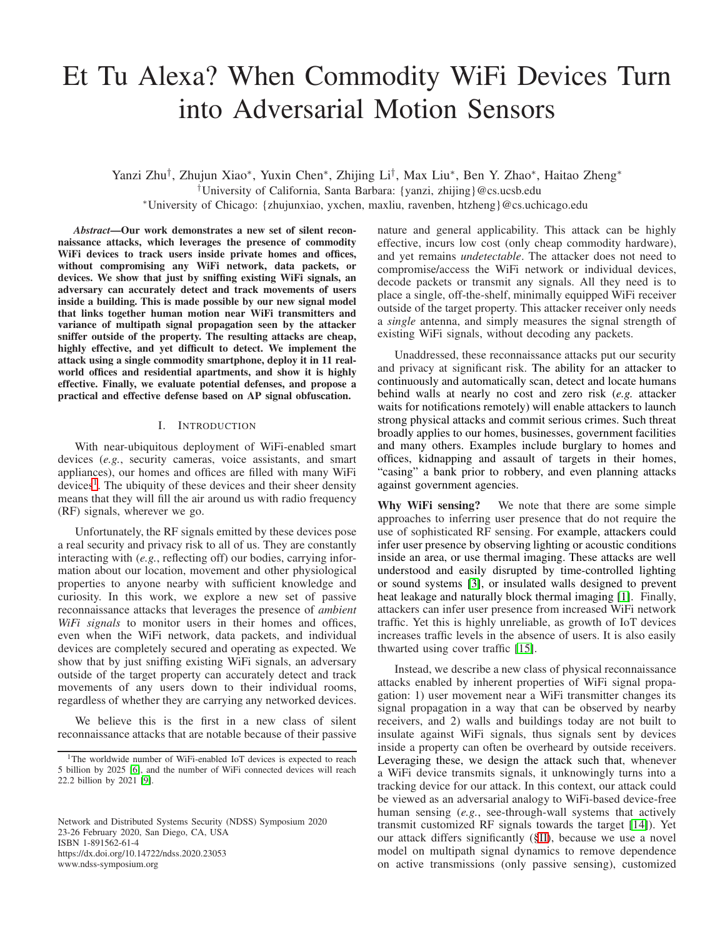# Et Tu Alexa? When Commodity WiFi Devices Turn into Adversarial Motion Sensors

Yanzi Zhu<sup>†</sup>, Zhujun Xiao\*, Yuxin Chen\*, Zhijing Li<sup>†</sup>, Max Liu\*, Ben Y. Zhao\*, Haitao Zheng\* †University of California, Santa Barbara: {yanzi, zhijing}@cs.ucsb.edu <sup>∗</sup>University of Chicago: {zhujunxiao, yxchen, maxliu, ravenben, htzheng}@cs.uchicago.edu

*Abstract*—Our work demonstrates a new set of silent reconnaissance attacks, which leverages the presence of commodity WiFi devices to track users inside private homes and offices, without compromising any WiFi network, data packets, or devices. We show that just by sniffing existing WiFi signals, an adversary can accurately detect and track movements of users inside a building. This is made possible by our new signal model that links together human motion near WiFi transmitters and variance of multipath signal propagation seen by the attacker sniffer outside of the property. The resulting attacks are cheap, highly effective, and yet difficult to detect. We implement the attack using a single commodity smartphone, deploy it in 11 realworld offices and residential apartments, and show it is highly effective. Finally, we evaluate potential defenses, and propose a practical and effective defense based on AP signal obfuscation.

## I. INTRODUCTION

With near-ubiquitous deployment of WiFi-enabled smart devices (*e.g.*, security cameras, voice assistants, and smart appliances), our homes and offices are filled with many WiFi devices<sup>[1](#page-0-0)</sup>. The ubiquity of these devices and their sheer density means that they will fill the air around us with radio frequency (RF) signals, wherever we go.

Unfortunately, the RF signals emitted by these devices pose a real security and privacy risk to all of us. They are constantly interacting with (*e.g.*, reflecting off) our bodies, carrying information about our location, movement and other physiological properties to anyone nearby with sufficient knowledge and curiosity. In this work, we explore a new set of passive reconnaissance attacks that leverages the presence of *ambient WiFi signals* to monitor users in their homes and offices, even when the WiFi network, data packets, and individual devices are completely secured and operating as expected. We show that by just sniffing existing WiFi signals, an adversary outside of the target property can accurately detect and track movements of any users down to their individual rooms, regardless of whether they are carrying any networked devices.

We believe this is the first in a new class of silent reconnaissance attacks that are notable because of their passive

Network and Distributed Systems Security (NDSS) Symposium 2020 23-26 February 2020, San Diego, CA, USA ISBN 1-891562-61-4 https://dx.doi.org/10.14722/ndss.2020.23053 www.ndss-symposium.org

nature and general applicability. This attack can be highly effective, incurs low cost (only cheap commodity hardware), and yet remains *undetectable*. The attacker does not need to compromise/access the WiFi network or individual devices, decode packets or transmit any signals. All they need is to place a single, off-the-shelf, minimally equipped WiFi receiver outside of the target property. This attacker receiver only needs a *single* antenna, and simply measures the signal strength of existing WiFi signals, without decoding any packets.

Unaddressed, these reconnaissance attacks put our security and privacy at significant risk. The ability for an attacker to continuously and automatically scan, detect and locate humans behind walls at nearly no cost and zero risk (*e.g.* attacker waits for notifications remotely) will enable attackers to launch strong physical attacks and commit serious crimes. Such threat broadly applies to our homes, businesses, government facilities and many others. Examples include burglary to homes and offices, kidnapping and assault of targets in their homes, "casing" a bank prior to robbery, and even planning attacks against government agencies.

Why WiFi sensing? We note that there are some simple approaches to inferring user presence that do not require the use of sophisticated RF sensing. For example, attackers could infer user presence by observing lighting or acoustic conditions inside an area, or use thermal imaging. These attacks are well understood and easily disrupted by time-controlled lighting or sound systems [\[3\]](#page-13-2), or insulated walls designed to prevent heat leakage and naturally block thermal imaging [\[1\]](#page-13-3). Finally, attackers can infer user presence from increased WiFi network traffic. Yet this is highly unreliable, as growth of IoT devices increases traffic levels in the absence of users. It is also easily thwarted using cover traffic [\[15\]](#page-13-4).

Instead, we describe a new class of physical reconnaissance attacks enabled by inherent properties of WiFi signal propagation: 1) user movement near a WiFi transmitter changes its signal propagation in a way that can be observed by nearby receivers, and 2) walls and buildings today are not built to insulate against WiFi signals, thus signals sent by devices inside a property can often be overheard by outside receivers. Leveraging these, we design the attack such that, whenever a WiFi device transmits signals, it unknowingly turns into a tracking device for our attack. In this context, our attack could be viewed as an adversarial analogy to WiFi-based device-free human sensing (*e.g.*, see-through-wall systems that actively transmit customized RF signals towards the target [\[14\]](#page-13-5)). Yet our attack differs significantly ([§II\)](#page-1-0), because we use a novel model on multipath signal dynamics to remove dependence on active transmissions (only passive sensing), customized

<span id="page-0-0"></span><sup>&</sup>lt;sup>1</sup>The worldwide number of WiFi-enabled IoT devices is expected to reach 5 billion by 2025 [\[6\]](#page-13-0), and the number of WiFi connected devices will reach 22.2 billion by 2021 [\[9\]](#page-13-1).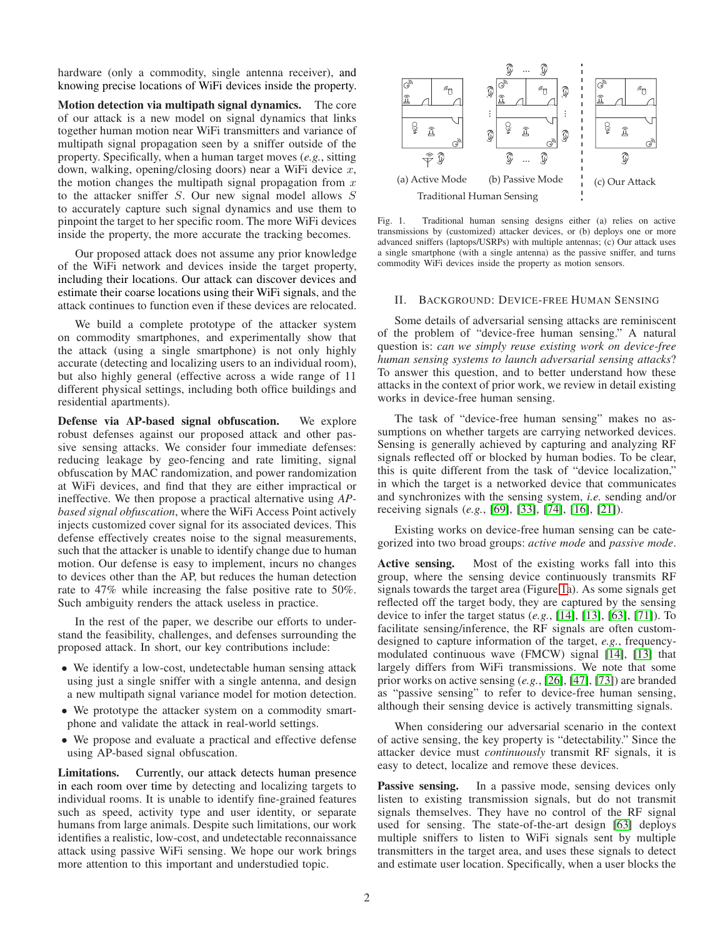hardware (only a commodity, single antenna receiver), and knowing precise locations of WiFi devices inside the property.

Motion detection via multipath signal dynamics. The core of our attack is a new model on signal dynamics that links together human motion near WiFi transmitters and variance of multipath signal propagation seen by a sniffer outside of the property. Specifically, when a human target moves (*e.g.*, sitting down, walking, opening/closing doors) near a WiFi device  $x$ , the motion changes the multipath signal propagation from  $x$ to the attacker sniffer  $S$ . Our new signal model allows  $S$ to accurately capture such signal dynamics and use them to pinpoint the target to her specific room. The more WiFi devices inside the property, the more accurate the tracking becomes.

Our proposed attack does not assume any prior knowledge of the WiFi network and devices inside the target property, including their locations. Our attack can discover devices and estimate their coarse locations using their WiFi signals, and the attack continues to function even if these devices are relocated.

We build a complete prototype of the attacker system on commodity smartphones, and experimentally show that the attack (using a single smartphone) is not only highly accurate (detecting and localizing users to an individual room), but also highly general (effective across a wide range of 11 different physical settings, including both office buildings and residential apartments).

Defense via AP-based signal obfuscation. We explore robust defenses against our proposed attack and other passive sensing attacks. We consider four immediate defenses: reducing leakage by geo-fencing and rate limiting, signal obfuscation by MAC randomization, and power randomization at WiFi devices, and find that they are either impractical or ineffective. We then propose a practical alternative using *APbased signal obfuscation*, where the WiFi Access Point actively injects customized cover signal for its associated devices. This defense effectively creates noise to the signal measurements, such that the attacker is unable to identify change due to human motion. Our defense is easy to implement, incurs no changes to devices other than the AP, but reduces the human detection rate to 47% while increasing the false positive rate to 50%. Such ambiguity renders the attack useless in practice.

In the rest of the paper, we describe our efforts to understand the feasibility, challenges, and defenses surrounding the proposed attack. In short, our key contributions include:

- We identify a low-cost, undetectable human sensing attack using just a single sniffer with a single antenna, and design a new multipath signal variance model for motion detection.
- We prototype the attacker system on a commodity smartphone and validate the attack in real-world settings.
- We propose and evaluate a practical and effective defense using AP-based signal obfuscation.

Limitations. Currently, our attack detects human presence in each room over time by detecting and localizing targets to individual rooms. It is unable to identify fine-grained features such as speed, activity type and user identity, or separate humans from large animals. Despite such limitations, our work identifies a realistic, low-cost, and undetectable reconnaissance attack using passive WiFi sensing. We hope our work brings more attention to this important and understudied topic.



<span id="page-1-1"></span>Fig. 1. Traditional human sensing designs either (a) relies on active transmissions by (customized) attacker devices, or (b) deploys one or more advanced sniffers (laptops/USRPs) with multiple antennas; (c) Our attack uses a single smartphone (with a single antenna) as the passive sniffer, and turns commodity WiFi devices inside the property as motion sensors.

#### <span id="page-1-0"></span>II. BACKGROUND: DEVICE-FREE HUMAN SENSING

Some details of adversarial sensing attacks are reminiscent of the problem of "device-free human sensing." A natural question is: *can we simply reuse existing work on device-free human sensing systems to launch adversarial sensing attacks*? To answer this question, and to better understand how these attacks in the context of prior work, we review in detail existing works in device-free human sensing.

The task of "device-free human sensing" makes no assumptions on whether targets are carrying networked devices. Sensing is generally achieved by capturing and analyzing RF signals reflected off or blocked by human bodies. To be clear, this is quite different from the task of "device localization," in which the target is a networked device that communicates and synchronizes with the sensing system, *i.e.* sending and/or receiving signals (*e.g.*, [\[69\]](#page-14-0), [\[33\]](#page-14-1), [\[74\]](#page-14-2), [\[16\]](#page-13-6), [\[21\]](#page-13-7)).

Existing works on device-free human sensing can be categorized into two broad groups: *active mode* and *passive mode*.

Active sensing. Most of the existing works fall into this group, where the sensing device continuously transmits RF signals towards the target area (Figure [1a](#page-1-1)). As some signals get reflected off the target body, they are captured by the sensing device to infer the target status (*e.g.*, [\[14\]](#page-13-5), [\[13\]](#page-13-8), [\[63\]](#page-14-3), [\[71\]](#page-14-4)). To facilitate sensing/inference, the RF signals are often customdesigned to capture information of the target, *e.g.*, frequencymodulated continuous wave (FMCW) signal [\[14\]](#page-13-5), [\[13\]](#page-13-8) that largely differs from WiFi transmissions. We note that some prior works on active sensing (*e.g.*, [\[26\]](#page-13-9), [\[47\]](#page-14-5), [\[73\]](#page-14-6)) are branded as "passive sensing" to refer to device-free human sensing, although their sensing device is actively transmitting signals.

When considering our adversarial scenario in the context of active sensing, the key property is "detectability." Since the attacker device must *continuously* transmit RF signals, it is easy to detect, localize and remove these devices.

Passive sensing. In a passive mode, sensing devices only listen to existing transmission signals, but do not transmit signals themselves. They have no control of the RF signal used for sensing. The state-of-the-art design [\[63\]](#page-14-3) deploys multiple sniffers to listen to WiFi signals sent by multiple transmitters in the target area, and uses these signals to detect and estimate user location. Specifically, when a user blocks the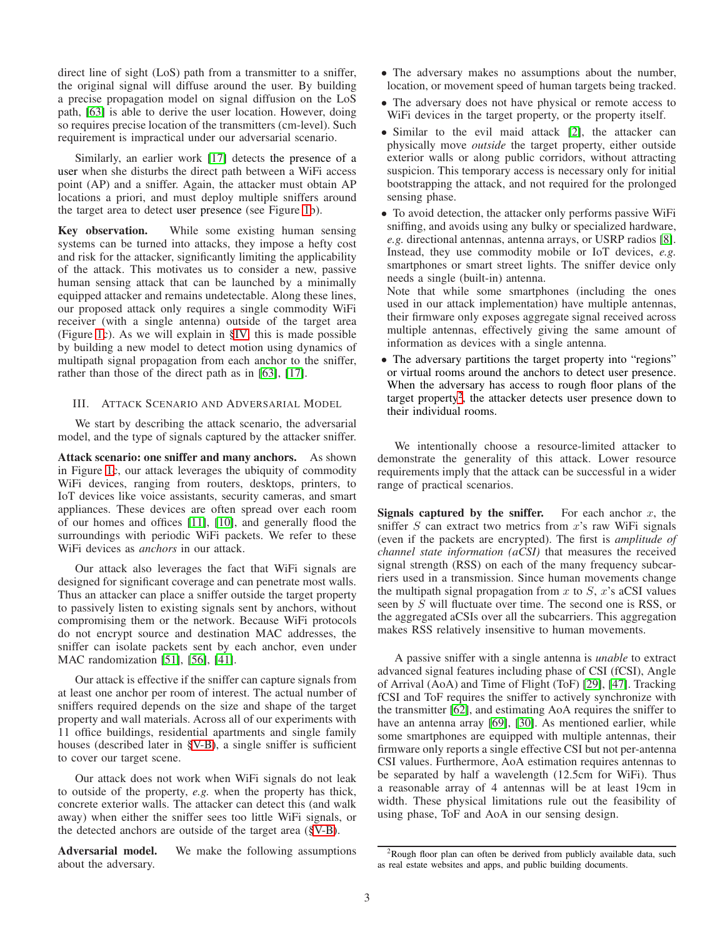direct line of sight (LoS) path from a transmitter to a sniffer, the original signal will diffuse around the user. By building a precise propagation model on signal diffusion on the LoS path, [\[63\]](#page-14-3) is able to derive the user location. However, doing so requires precise location of the transmitters (cm-level). Such requirement is impractical under our adversarial scenario.

Similarly, an earlier work [\[17\]](#page-13-10) detects the presence of a user when she disturbs the direct path between a WiFi access point (AP) and a sniffer. Again, the attacker must obtain AP locations a priori, and must deploy multiple sniffers around the target area to detect user presence (see Figure [1b](#page-1-1)).

Key observation. While some existing human sensing systems can be turned into attacks, they impose a hefty cost and risk for the attacker, significantly limiting the applicability of the attack. This motivates us to consider a new, passive human sensing attack that can be launched by a minimally equipped attacker and remains undetectable. Along these lines, our proposed attack only requires a single commodity WiFi receiver (with a single antenna) outside of the target area (Figure [1c](#page-1-1)). As we will explain in [§IV,](#page-3-0) this is made possible by building a new model to detect motion using dynamics of multipath signal propagation from each anchor to the sniffer, rather than those of the direct path as in [\[63\]](#page-14-3), [\[17\]](#page-13-10).

# III. ATTACK SCENARIO AND ADVERSARIAL MODEL

We start by describing the attack scenario, the adversarial model, and the type of signals captured by the attacker sniffer.

Attack scenario: one sniffer and many anchors. As shown in Figure [1c](#page-1-1), our attack leverages the ubiquity of commodity WiFi devices, ranging from routers, desktops, printers, to IoT devices like voice assistants, security cameras, and smart appliances. These devices are often spread over each room of our homes and offices [\[11\]](#page-13-11), [\[10\]](#page-13-12), and generally flood the surroundings with periodic WiFi packets. We refer to these WiFi devices as *anchors* in our attack.

Our attack also leverages the fact that WiFi signals are designed for significant coverage and can penetrate most walls. Thus an attacker can place a sniffer outside the target property to passively listen to existing signals sent by anchors, without compromising them or the network. Because WiFi protocols do not encrypt source and destination MAC addresses, the sniffer can isolate packets sent by each anchor, even under MAC randomization [\[51\]](#page-14-7), [\[56\]](#page-14-8), [\[41\]](#page-14-9).

Our attack is effective if the sniffer can capture signals from at least one anchor per room of interest. The actual number of sniffers required depends on the size and shape of the target property and wall materials. Across all of our experiments with 11 office buildings, residential apartments and single family houses (described later in [§V-B\)](#page-6-0), a single sniffer is sufficient to cover our target scene.

Our attack does not work when WiFi signals do not leak to outside of the property, *e.g.* when the property has thick, concrete exterior walls. The attacker can detect this (and walk away) when either the sniffer sees too little WiFi signals, or the detected anchors are outside of the target area ([§V-B\)](#page-6-0).

Adversarial model. We make the following assumptions about the adversary.

- The adversary makes no assumptions about the number, location, or movement speed of human targets being tracked.
- The adversary does not have physical or remote access to WiFi devices in the target property, or the property itself.
- Similar to the evil maid attack [\[2\]](#page-13-13), the attacker can physically move *outside* the target property, either outside exterior walls or along public corridors, without attracting suspicion. This temporary access is necessary only for initial bootstrapping the attack, and not required for the prolonged sensing phase.
- To avoid detection, the attacker only performs passive WiFi sniffing, and avoids using any bulky or specialized hardware, *e.g.* directional antennas, antenna arrays, or USRP radios [\[8\]](#page-13-14). Instead, they use commodity mobile or IoT devices, *e.g.* smartphones or smart street lights. The sniffer device only needs a single (built-in) antenna.

Note that while some smartphones (including the ones used in our attack implementation) have multiple antennas, their firmware only exposes aggregate signal received across multiple antennas, effectively giving the same amount of information as devices with a single antenna.

• The adversary partitions the target property into "regions" or virtual rooms around the anchors to detect user presence. When the adversary has access to rough floor plans of the target property<sup>[2](#page-2-0)</sup>, the attacker detects user presence down to their individual rooms.

We intentionally choose a resource-limited attacker to demonstrate the generality of this attack. Lower resource requirements imply that the attack can be successful in a wider range of practical scenarios.

Signals captured by the sniffer. For each anchor  $x$ , the sniffer  $S$  can extract two metrics from  $x$ 's raw WiFi signals (even if the packets are encrypted). The first is *amplitude of channel state information (aCSI)* that measures the received signal strength (RSS) on each of the many frequency subcarriers used in a transmission. Since human movements change the multipath signal propagation from  $x$  to  $S$ ,  $x$ 's aCSI values seen by  $\overline{S}$  will fluctuate over time. The second one is RSS, or the aggregated aCSIs over all the subcarriers. This aggregation makes RSS relatively insensitive to human movements.

A passive sniffer with a single antenna is *unable* to extract advanced signal features including phase of CSI (fCSI), Angle of Arrival (AoA) and Time of Flight (ToF) [\[29\]](#page-14-10), [\[47\]](#page-14-5). Tracking fCSI and ToF requires the sniffer to actively synchronize with the transmitter [\[62\]](#page-14-11), and estimating AoA requires the sniffer to have an antenna array [\[69\]](#page-14-0), [\[30\]](#page-14-12). As mentioned earlier, while some smartphones are equipped with multiple antennas, their firmware only reports a single effective CSI but not per-antenna CSI values. Furthermore, AoA estimation requires antennas to be separated by half a wavelength (12.5cm for WiFi). Thus a reasonable array of 4 antennas will be at least 19cm in width. These physical limitations rule out the feasibility of using phase, ToF and AoA in our sensing design.

<span id="page-2-0"></span><sup>&</sup>lt;sup>2</sup>Rough floor plan can often be derived from publicly available data, such as real estate websites and apps, and public building documents.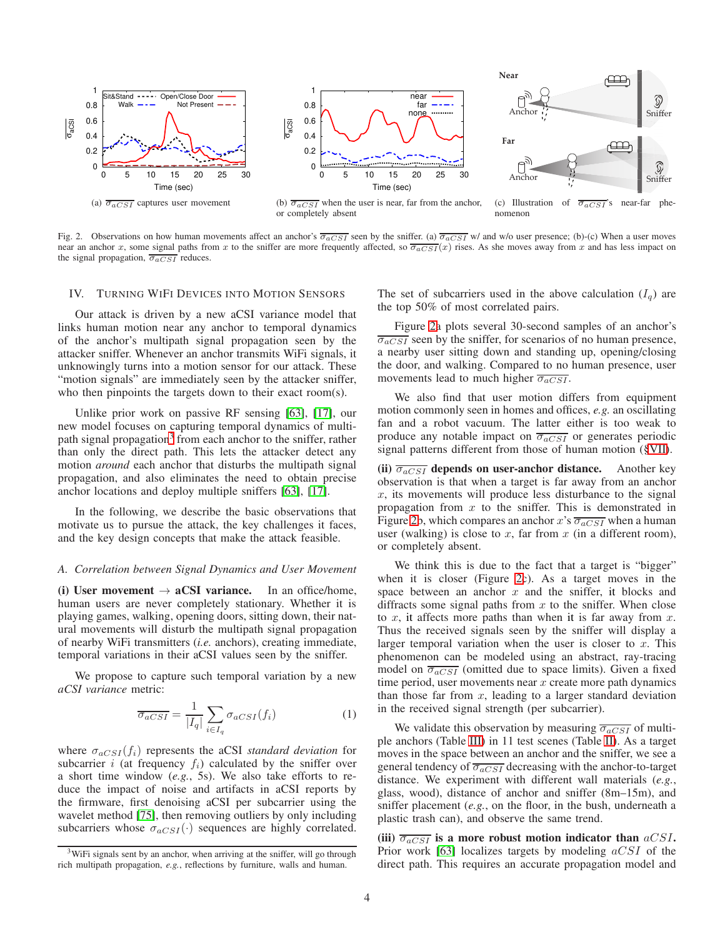

<span id="page-3-2"></span>Fig. 2. Observations on how human movements affect an anchor's  $\overline{\sigma_{aCSI}}$  seen by the sniffer. (a)  $\overline{\sigma_{aCSI}}$  w/ and w/o user presence; (b)-(c) When a user moves near an anchor x, some signal paths from x to the sniffer are more frequently affected, so  $\overline{\sigma_{aCSI}}(x)$  rises. As she moves away from x and has less impact on the signal propagation,  $\overline{\sigma_{aCSI}}$  reduces.

#### <span id="page-3-0"></span>IV. TURNING WIFI DEVICES INTO MOTION SENSORS

Our attack is driven by a new aCSI variance model that links human motion near any anchor to temporal dynamics of the anchor's multipath signal propagation seen by the attacker sniffer. Whenever an anchor transmits WiFi signals, it unknowingly turns into a motion sensor for our attack. These "motion signals" are immediately seen by the attacker sniffer, who then pinpoints the targets down to their exact room(s).

Unlike prior work on passive RF sensing [\[63\]](#page-14-3), [\[17\]](#page-13-10), our new model focuses on capturing temporal dynamics of multi-path signal propagation<sup>[3](#page-3-1)</sup> from each anchor to the sniffer, rather than only the direct path. This lets the attacker detect any motion *around* each anchor that disturbs the multipath signal propagation, and also eliminates the need to obtain precise anchor locations and deploy multiple sniffers [\[63\]](#page-14-3), [\[17\]](#page-13-10).

In the following, we describe the basic observations that motivate us to pursue the attack, the key challenges it faces, and the key design concepts that make the attack feasible.

#### *A. Correlation between Signal Dynamics and User Movement*

(i) User movement  $\rightarrow$  aCSI variance. In an office/home, human users are never completely stationary. Whether it is playing games, walking, opening doors, sitting down, their natural movements will disturb the multipath signal propagation of nearby WiFi transmitters (*i.e.* anchors), creating immediate, temporal variations in their aCSI values seen by the sniffer.

We propose to capture such temporal variation by a new *aCSI variance* metric:

$$
\overline{\sigma_{aCSI}} = \frac{1}{|I_q|} \sum_{i \in I_q} \sigma_{aCSI}(f_i)
$$
 (1)

where  $\sigma_{aCSI}(f_i)$  represents the aCSI *standard deviation* for subcarrier i (at frequency  $f_i$ ) calculated by the sniffer over a short time window (*e.g.*, 5s). We also take efforts to reduce the impact of noise and artifacts in aCSI reports by the firmware, first denoising aCSI per subcarrier using the wavelet method [\[75\]](#page-14-13), then removing outliers by only including subcarriers whose  $\sigma_{aCSI}(\cdot)$  sequences are highly correlated. The set of subcarriers used in the above calculation  $(I_q)$  are the top 50% of most correlated pairs.

Figure [2a](#page-3-2) plots several 30-second samples of an anchor's  $\overline{\sigma_{aCSI}}$  seen by the sniffer, for scenarios of no human presence, a nearby user sitting down and standing up, opening/closing the door, and walking. Compared to no human presence, user movements lead to much higher  $\overline{\sigma_{aCSI}}$ .

We also find that user motion differs from equipment motion commonly seen in homes and offices, *e.g.* an oscillating fan and a robot vacuum. The latter either is too weak to produce any notable impact on  $\overline{\sigma_{aCSI}}$  or generates periodic signal patterns different from those of human motion ([§VII\)](#page-7-0).

(ii)  $\overline{\sigma_{aCSI}}$  depends on user-anchor distance. Another key observation is that when a target is far away from an anchor  $x$ , its movements will produce less disturbance to the signal propagation from  $x$  to the sniffer. This is demonstrated in Figure [2b](#page-3-2), which compares an anchor x's  $\overline{\sigma_{aCSI}}$  when a human user (walking) is close to  $x$ , far from  $x$  (in a different room), or completely absent.

We think this is due to the fact that a target is "bigger" when it is closer (Figure [2c](#page-3-2)). As a target moves in the space between an anchor  $x$  and the sniffer, it blocks and diffracts some signal paths from  $x$  to the sniffer. When close to x, it affects more paths than when it is far away from  $x$ . Thus the received signals seen by the sniffer will display a larger temporal variation when the user is closer to  $x$ . This phenomenon can be modeled using an abstract, ray-tracing model on  $\overline{\sigma_{aCSI}}$  (omitted due to space limits). Given a fixed time period, user movements near  $x$  create more path dynamics than those far from  $x$ , leading to a larger standard deviation in the received signal strength (per subcarrier).

We validate this observation by measuring  $\overline{\sigma_{aCSI}}$  of multiple anchors (Table [III\)](#page-8-0) in 11 test scenes (Table [II\)](#page-7-1). As a target moves in the space between an anchor and the sniffer, we see a general tendency of  $\overline{\sigma_{aCSI}}$  decreasing with the anchor-to-target distance. We experiment with different wall materials (*e.g.*, glass, wood), distance of anchor and sniffer (8m–15m), and sniffer placement (*e.g.*, on the floor, in the bush, underneath a plastic trash can), and observe the same trend.

(iii)  $\overline{\sigma_{aCSI}}$  is a more robust motion indicator than  $aCSI$ . Prior work [\[63\]](#page-14-3) localizes targets by modeling  $aCSI$  of the direct path. This requires an accurate propagation model and

<span id="page-3-1"></span> $3W$ iFi signals sent by an anchor, when arriving at the sniffer, will go through rich multipath propagation, *e.g.*, reflections by furniture, walls and human.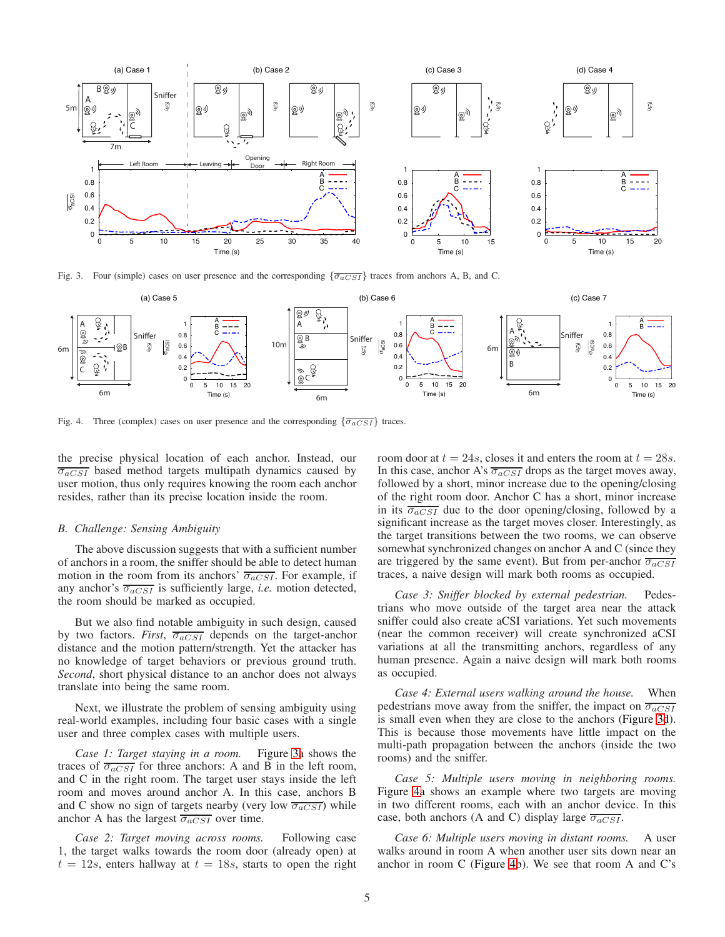

<span id="page-4-0"></span>Fig. 3. Four (simple) cases on user presence and the corresponding  $\{\overline{\sigma_{aCSI}}\}$  traces from anchors A, B, and C.



<span id="page-4-1"></span>Fig. 4. Three (complex) cases on user presence and the corresponding  $\{\overline{\sigma_{aCSI}}\}$  traces.

the precise physical location of each anchor. Instead, our  $\overline{\sigma_{aCSI}}$  based method targets multipath dynamics caused by user motion, thus only requires knowing the room each anchor resides, rather than its precise location inside the room.

#### *B. Challenge: Sensing Ambiguity*

The above discussion suggests that with a sufficient number of anchors in a room, the sniffer should be able to detect human motion in the room from its anchors'  $\overline{\sigma_{aCSI}}$ . For example, if any anchor's  $\overline{\sigma_{aCSI}}$  is sufficiently large, *i.e.* motion detected, the room should be marked as occupied.

But we also find notable ambiguity in such design, caused by two factors. *First*,  $\overline{\sigma_{aCSI}}$  depends on the target-anchor distance and the motion pattern/strength. Yet the attacker has no knowledge of target behaviors or previous ground truth. *Second*, short physical distance to an anchor does not always translate into being the same room.

Next, we illustrate the problem of sensing ambiguity using real-world examples, including four basic cases with a single user and three complex cases with multiple users.

*Case 1: Target staying in a room.* Figure [3a](#page-4-0) shows the traces of  $\overline{\sigma_{aCSI}}$  for three anchors: A and B in the left room, and C in the right room. The target user stays inside the left room and moves around anchor A. In this case, anchors B and C show no sign of targets nearby (very low  $\overline{\sigma_{aCSI}}$ ) while anchor A has the largest  $\overline{\sigma_{aCSI}}$  over time.

*Case 2: Target moving across rooms.* Following case 1, the target walks towards the room door (already open) at  $t = 12s$ , enters hallway at  $t = 18s$ , starts to open the right room door at  $t = 24s$ , closes it and enters the room at  $t = 28s$ . In this case, anchor A's  $\overline{\sigma_{aCSI}}$  drops as the target moves away, followed by a short, minor increase due to the opening/closing of the right room door. Anchor C has a short, minor increase in its  $\overline{\sigma_{aCSI}}$  due to the door opening/closing, followed by a significant increase as the target moves closer. Interestingly, as the target transitions between the two rooms, we can observe somewhat synchronized changes on anchor A and C (since they are triggered by the same event). But from per-anchor  $\overline{\sigma_{aCSI}}$ traces, a naive design will mark both rooms as occupied.

*Case 3: Sniffer blocked by external pedestrian.* Pedestrians who move outside of the target area near the attack sniffer could also create aCSI variations. Yet such movements (near the common receiver) will create synchronized aCSI variations at all the transmitting anchors, regardless of any human presence. Again a naive design will mark both rooms as occupied.

*Case 4: External users walking around the house.* When pedestrians move away from the sniffer, the impact on  $\overline{\sigma_{aCSI}}$ is small even when they are close to the anchors (Figure [3d](#page-4-0)). This is because those movements have little impact on the multi-path propagation between the anchors (inside the two rooms) and the sniffer.

*Case 5: Multiple users moving in neighboring rooms.* Figure [4a](#page-4-1) shows an example where two targets are moving in two different rooms, each with an anchor device. In this case, both anchors (A and C) display large  $\overline{\sigma_{aCSI}}$ .

*Case 6: Multiple users moving in distant rooms.* A user walks around in room A when another user sits down near an anchor in room C (Figure [4b](#page-4-1)). We see that room A and C's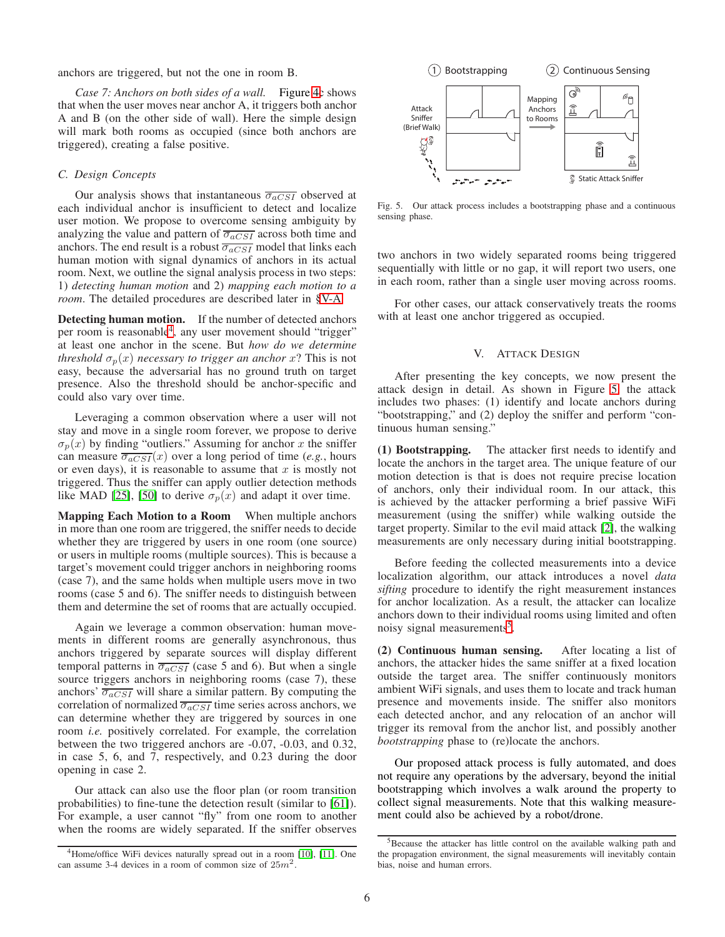anchors are triggered, but not the one in room B.

*Case 7: Anchors on both sides of a wall.* Figure [4c](#page-4-1) shows that when the user moves near anchor A, it triggers both anchor A and B (on the other side of wall). Here the simple design will mark both rooms as occupied (since both anchors are triggered), creating a false positive.

#### *C. Design Concepts*

Our analysis shows that instantaneous  $\overline{\sigma_{aCSI}}$  observed at each individual anchor is insufficient to detect and localize user motion. We propose to overcome sensing ambiguity by analyzing the value and pattern of  $\overline{\sigma_{aCSI}}$  across both time and anchors. The end result is a robust  $\overline{\sigma_{aCSI}}$  model that links each human motion with signal dynamics of anchors in its actual room. Next, we outline the signal analysis process in two steps: 1) *detecting human motion* and 2) *mapping each motion to a room*. The detailed procedures are described later in [§V-A.](#page-6-1)

Detecting human motion. If the number of detected anchors per room is reasonable<sup>[4](#page-5-0)</sup>, any user movement should "trigger" at least one anchor in the scene. But *how do we determine threshold*  $\sigma_p(x)$  *necessary to trigger an anchor* x? This is not easy, because the adversarial has no ground truth on target presence. Also the threshold should be anchor-specific and could also vary over time.

Leveraging a common observation where a user will not stay and move in a single room forever, we propose to derive  $\sigma_p(x)$  by finding "outliers." Assuming for anchor x the sniffer can measure  $\overline{\sigma_{aCSI}}(x)$  over a long period of time (*e.g.*, hours or even days), it is reasonable to assume that  $x$  is mostly not triggered. Thus the sniffer can apply outlier detection methods like MAD [\[25\]](#page-13-15), [\[50\]](#page-14-14) to derive  $\sigma_n(x)$  and adapt it over time.

Mapping Each Motion to a Room When multiple anchors in more than one room are triggered, the sniffer needs to decide whether they are triggered by users in one room (one source) or users in multiple rooms (multiple sources). This is because a target's movement could trigger anchors in neighboring rooms (case 7), and the same holds when multiple users move in two rooms (case 5 and 6). The sniffer needs to distinguish between them and determine the set of rooms that are actually occupied.

Again we leverage a common observation: human movements in different rooms are generally asynchronous, thus anchors triggered by separate sources will display different temporal patterns in  $\overline{\sigma_{aCSI}}$  (case 5 and 6). But when a single source triggers anchors in neighboring rooms (case 7), these anchors'  $\overline{\sigma_{aCSI}}$  will share a similar pattern. By computing the correlation of normalized  $\overline{\sigma_{aCSI}}$  time series across anchors, we can determine whether they are triggered by sources in one room *i.e.* positively correlated. For example, the correlation between the two triggered anchors are -0.07, -0.03, and 0.32, in case 5, 6, and 7, respectively, and 0.23 during the door opening in case 2.

Our attack can also use the floor plan (or room transition probabilities) to fine-tune the detection result (similar to [\[61\]](#page-14-15)). For example, a user cannot "fly" from one room to another when the rooms are widely separated. If the sniffer observes



<span id="page-5-1"></span>Fig. 5. Our attack process includes a bootstrapping phase and a continuous sensing phase.

two anchors in two widely separated rooms being triggered sequentially with little or no gap, it will report two users, one in each room, rather than a single user moving across rooms.

For other cases, our attack conservatively treats the rooms with at least one anchor triggered as occupied.

#### V. ATTACK DESIGN

After presenting the key concepts, we now present the attack design in detail. As shown in Figure [5,](#page-5-1) the attack includes two phases: (1) identify and locate anchors during "bootstrapping," and (2) deploy the sniffer and perform "continuous human sensing."

(1) Bootstrapping. The attacker first needs to identify and locate the anchors in the target area. The unique feature of our motion detection is that is does not require precise location of anchors, only their individual room. In our attack, this is achieved by the attacker performing a brief passive WiFi measurement (using the sniffer) while walking outside the target property. Similar to the evil maid attack [\[2\]](#page-13-13), the walking measurements are only necessary during initial bootstrapping.

Before feeding the collected measurements into a device localization algorithm, our attack introduces a novel *data sifting* procedure to identify the right measurement instances for anchor localization. As a result, the attacker can localize anchors down to their individual rooms using limited and often noisy signal measurements<sup>[5](#page-5-2)</sup>.

(2) Continuous human sensing. After locating a list of anchors, the attacker hides the same sniffer at a fixed location outside the target area. The sniffer continuously monitors ambient WiFi signals, and uses them to locate and track human presence and movements inside. The sniffer also monitors each detected anchor, and any relocation of an anchor will trigger its removal from the anchor list, and possibly another *bootstrapping* phase to (re)locate the anchors.

Our proposed attack process is fully automated, and does not require any operations by the adversary, beyond the initial bootstrapping which involves a walk around the property to collect signal measurements. Note that this walking measurement could also be achieved by a robot/drone.

<span id="page-5-0"></span><sup>&</sup>lt;sup>4</sup>Home/office WiFi devices naturally spread out in a room [\[10\]](#page-13-12), [\[11\]](#page-13-11). One can assume 3-4 devices in a room of common size of  $25m^2$ .

<span id="page-5-2"></span><sup>&</sup>lt;sup>5</sup>Because the attacker has little control on the available walking path and the propagation environment, the signal measurements will inevitably contain bias, noise and human errors.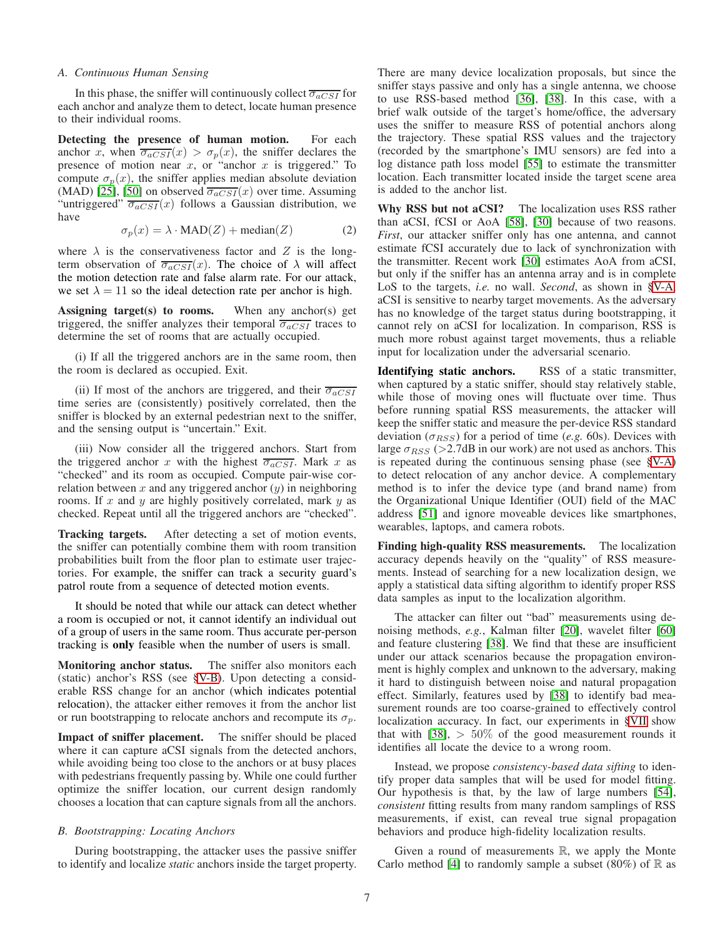#### <span id="page-6-1"></span>*A. Continuous Human Sensing*

In this phase, the sniffer will continuously collect  $\overline{\sigma_{aCSI}}$  for each anchor and analyze them to detect, locate human presence to their individual rooms.

Detecting the presence of human motion. For each anchor x, when  $\overline{\sigma_{aCSI}}(x) > \sigma_p(x)$ , the sniffer declares the presence of motion near  $x$ , or "anchor  $x$  is triggered." To compute  $\sigma_p(x)$ , the sniffer applies median absolute deviation (MAD) [\[25\]](#page-13-15), [\[50\]](#page-14-14) on observed  $\overline{\sigma_{aCSI}}(x)$  over time. Assuming "untriggered"  $\overline{\sigma_{aCSI}}(x)$  follows a Gaussian distribution, we have

$$
\sigma_p(x) = \lambda \cdot \text{MAD}(Z) + \text{median}(Z) \tag{2}
$$

where  $\lambda$  is the conservativeness factor and Z is the longterm observation of  $\overline{\sigma_{aCSI}}(x)$ . The choice of  $\lambda$  will affect the motion detection rate and false alarm rate. For our attack, we set  $\lambda = 11$  so the ideal detection rate per anchor is high.

Assigning  $target(s)$  to rooms. When any anchor(s) get triggered, the sniffer analyzes their temporal  $\overline{\sigma_{aCSI}}$  traces to determine the set of rooms that are actually occupied.

(i) If all the triggered anchors are in the same room, then the room is declared as occupied. Exit.

(ii) If most of the anchors are triggered, and their  $\overline{\sigma_{aCSI}}$ time series are (consistently) positively correlated, then the sniffer is blocked by an external pedestrian next to the sniffer, and the sensing output is "uncertain." Exit.

(iii) Now consider all the triggered anchors. Start from the triggered anchor x with the highest  $\overline{\sigma_{aCSI}}$ . Mark x as "checked" and its room as occupied. Compute pair-wise correlation between  $x$  and any triggered anchor  $(y)$  in neighboring rooms. If  $x$  and  $y$  are highly positively correlated, mark  $y$  as checked. Repeat until all the triggered anchors are "checked".

Tracking targets. After detecting a set of motion events, the sniffer can potentially combine them with room transition probabilities built from the floor plan to estimate user trajectories. For example, the sniffer can track a security guard's patrol route from a sequence of detected motion events.

It should be noted that while our attack can detect whether a room is occupied or not, it cannot identify an individual out of a group of users in the same room. Thus accurate per-person tracking is only feasible when the number of users is small.

Monitoring anchor status. The sniffer also monitors each (static) anchor's RSS (see [§V-B\)](#page-6-0). Upon detecting a considerable RSS change for an anchor (which indicates potential relocation), the attacker either removes it from the anchor list or run bootstrapping to relocate anchors and recompute its  $\sigma_p$ .

Impact of sniffer placement. The sniffer should be placed where it can capture aCSI signals from the detected anchors, while avoiding being too close to the anchors or at busy places with pedestrians frequently passing by. While one could further optimize the sniffer location, our current design randomly chooses a location that can capture signals from all the anchors.

## <span id="page-6-0"></span>*B. Bootstrapping: Locating Anchors*

During bootstrapping, the attacker uses the passive sniffer to identify and localize *static* anchors inside the target property.

There are many device localization proposals, but since the sniffer stays passive and only has a single antenna, we choose to use RSS-based method [\[36\]](#page-14-16), [\[38\]](#page-14-17). In this case, with a brief walk outside of the target's home/office, the adversary uses the sniffer to measure RSS of potential anchors along the trajectory. These spatial RSS values and the trajectory (recorded by the smartphone's IMU sensors) are fed into a log distance path loss model [\[55\]](#page-14-18) to estimate the transmitter location. Each transmitter located inside the target scene area is added to the anchor list.

Why RSS but not aCSI? The localization uses RSS rather than aCSI, fCSI or AoA [\[58\]](#page-14-19), [\[30\]](#page-14-12) because of two reasons. *First*, our attacker sniffer only has one antenna, and cannot estimate fCSI accurately due to lack of synchronization with the transmitter. Recent work [\[30\]](#page-14-12) estimates AoA from aCSI, but only if the sniffer has an antenna array and is in complete LoS to the targets, *i.e.* no wall. *Second*, as shown in [§V-A,](#page-6-1) aCSI is sensitive to nearby target movements. As the adversary has no knowledge of the target status during bootstrapping, it cannot rely on aCSI for localization. In comparison, RSS is much more robust against target movements, thus a reliable input for localization under the adversarial scenario.

Identifying static anchors. RSS of a static transmitter, when captured by a static sniffer, should stay relatively stable, while those of moving ones will fluctuate over time. Thus before running spatial RSS measurements, the attacker will keep the sniffer static and measure the per-device RSS standard deviation ( $\sigma_{RSS}$ ) for a period of time (*e.g.* 60s). Devices with large  $\sigma_{RSS}$  (>2.7dB in our work) are not used as anchors. This is repeated during the continuous sensing phase (see [§V-A\)](#page-6-1) to detect relocation of any anchor device. A complementary method is to infer the device type (and brand name) from the Organizational Unique Identifier (OUI) field of the MAC address [\[51\]](#page-14-7) and ignore moveable devices like smartphones, wearables, laptops, and camera robots.

Finding high-quality RSS measurements. The localization accuracy depends heavily on the "quality" of RSS measurements. Instead of searching for a new localization design, we apply a statistical data sifting algorithm to identify proper RSS data samples as input to the localization algorithm.

The attacker can filter out "bad" measurements using denoising methods, *e.g.*, Kalman filter [\[20\]](#page-13-16), wavelet filter [\[60\]](#page-14-20) and feature clustering [\[38\]](#page-14-17). We find that these are insufficient under our attack scenarios because the propagation environment is highly complex and unknown to the adversary, making it hard to distinguish between noise and natural propagation effect. Similarly, features used by [\[38\]](#page-14-17) to identify bad measurement rounds are too coarse-grained to effectively control localization accuracy. In fact, our experiments in [§VII](#page-7-0) show that with  $[38]$ ,  $> 50\%$  of the good measurement rounds it identifies all locate the device to a wrong room.

Instead, we propose *consistency-based data sifting* to identify proper data samples that will be used for model fitting. Our hypothesis is that, by the law of large numbers [\[54\]](#page-14-21), *consistent* fitting results from many random samplings of RSS measurements, if exist, can reveal true signal propagation behaviors and produce high-fidelity localization results.

Given a round of measurements  $\mathbb{R}$ , we apply the Monte Carlo method [\[4\]](#page-13-17) to randomly sample a subset (80%) of  $\mathbb R$  as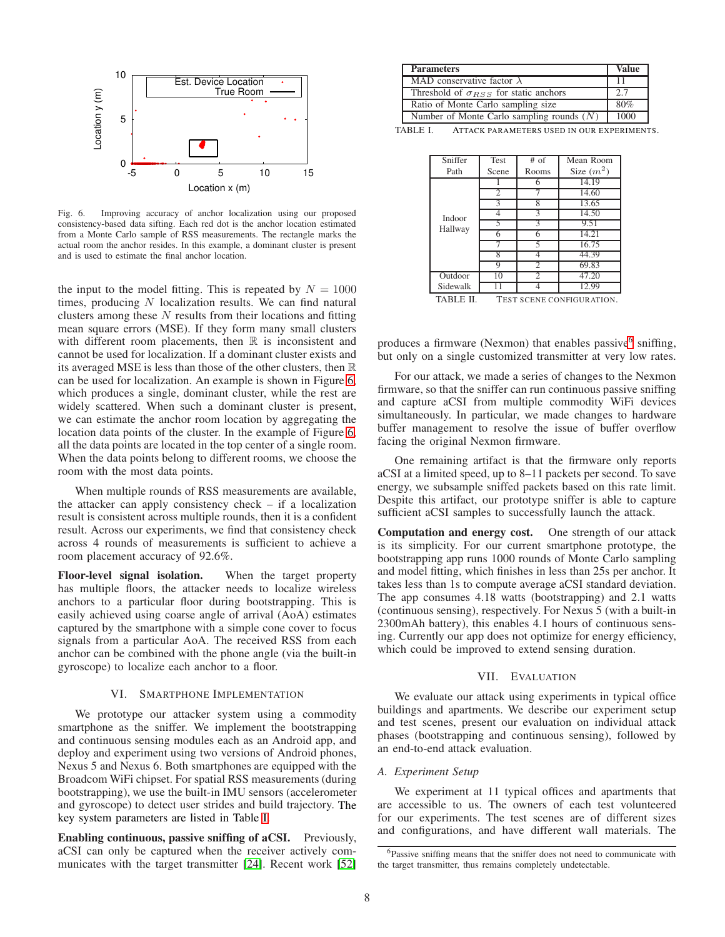

<span id="page-7-2"></span>Fig. 6. Improving accuracy of anchor localization using our proposed consistency-based data sifting. Each red dot is the anchor location estimated from a Monte Carlo sample of RSS measurements. The rectangle marks the actual room the anchor resides. In this example, a dominant cluster is present and is used to estimate the final anchor location.

the input to the model fitting. This is repeated by  $N = 1000$ times, producing  $N$  localization results. We can find natural clusters among these  $N$  results from their locations and fitting mean square errors (MSE). If they form many small clusters with different room placements, then  $\mathbb R$  is inconsistent and cannot be used for localization. If a dominant cluster exists and its averaged MSE is less than those of the other clusters, then  $\mathbb R$ can be used for localization. An example is shown in Figure [6,](#page-7-2) which produces a single, dominant cluster, while the rest are widely scattered. When such a dominant cluster is present, we can estimate the anchor room location by aggregating the location data points of the cluster. In the example of Figure [6,](#page-7-2) all the data points are located in the top center of a single room. When the data points belong to different rooms, we choose the room with the most data points.

When multiple rounds of RSS measurements are available, the attacker can apply consistency check – if a localization result is consistent across multiple rounds, then it is a confident result. Across our experiments, we find that consistency check across 4 rounds of measurements is sufficient to achieve a room placement accuracy of 92.6%.

Floor-level signal isolation. When the target property has multiple floors, the attacker needs to localize wireless anchors to a particular floor during bootstrapping. This is easily achieved using coarse angle of arrival (AoA) estimates captured by the smartphone with a simple cone cover to focus signals from a particular AoA. The received RSS from each anchor can be combined with the phone angle (via the built-in gyroscope) to localize each anchor to a floor.

## VI. SMARTPHONE IMPLEMENTATION

<span id="page-7-5"></span>We prototype our attacker system using a commodity smartphone as the sniffer. We implement the bootstrapping and continuous sensing modules each as an Android app, and deploy and experiment using two versions of Android phones, Nexus 5 and Nexus 6. Both smartphones are equipped with the Broadcom WiFi chipset. For spatial RSS measurements (during bootstrapping), we use the built-in IMU sensors (accelerometer and gyroscope) to detect user strides and build trajectory. The key system parameters are listed in Table [I.](#page-7-3)

Enabling continuous, passive sniffing of aCSI. Previously, aCSI can only be captured when the receiver actively communicates with the target transmitter [\[24\]](#page-13-18). Recent work [\[52\]](#page-14-22)

| <b>Parameters</b>                              | Value |
|------------------------------------------------|-------|
| MAD conservative factor $\lambda$              |       |
| Threshold of $\sigma_{RSS}$ for static anchors | 2.7   |
| Ratio of Monte Carlo sampling size             | 80%   |
| Number of Monte Carlo sampling rounds $(N)$    | 1000  |

TABLE I. ATTACK PARAMETERS USED IN OUR EXPERIMENTS.

<span id="page-7-3"></span>

| Sniffer           | Test                     | $#$ of | Mean Room          |
|-------------------|--------------------------|--------|--------------------|
| Path              | Scene                    | Rooms  | Size $(m^2)$       |
|                   |                          | 6      | 14.19              |
|                   |                          |        | 14.60              |
|                   | 3                        | 8      | 13.65              |
| Indoor<br>Hallway |                          | 3      | $\overline{14.50}$ |
|                   |                          | 3      | 9.51               |
|                   | 6                        | 6      | 14.21              |
|                   |                          |        | 16.75              |
|                   | 8                        |        | 44.39              |
|                   | Q                        | 2      | 69.83              |
| Outdoor           | 10                       | 2      | 47.20              |
| Sidewalk          |                          |        | 12.99              |
| $\cdots$<br>--    | $\overline{\phantom{a}}$ |        |                    |

<span id="page-7-1"></span>TABLE II. TEST SCENE CONFIGURATION.

produces a firmware (Nexmon) that enables passive<sup>[6](#page-7-4)</sup> sniffing, but only on a single customized transmitter at very low rates.

For our attack, we made a series of changes to the Nexmon firmware, so that the sniffer can run continuous passive sniffing and capture aCSI from multiple commodity WiFi devices simultaneously. In particular, we made changes to hardware buffer management to resolve the issue of buffer overflow facing the original Nexmon firmware.

One remaining artifact is that the firmware only reports aCSI at a limited speed, up to 8–11 packets per second. To save energy, we subsample sniffed packets based on this rate limit. Despite this artifact, our prototype sniffer is able to capture sufficient aCSI samples to successfully launch the attack.

Computation and energy cost. One strength of our attack is its simplicity. For our current smartphone prototype, the bootstrapping app runs 1000 rounds of Monte Carlo sampling and model fitting, which finishes in less than 25s per anchor. It takes less than 1s to compute average aCSI standard deviation. The app consumes 4.18 watts (bootstrapping) and 2.1 watts (continuous sensing), respectively. For Nexus 5 (with a built-in 2300mAh battery), this enables 4.1 hours of continuous sensing. Currently our app does not optimize for energy efficiency, which could be improved to extend sensing duration.

#### VII. EVALUATION

<span id="page-7-0"></span>We evaluate our attack using experiments in typical office buildings and apartments. We describe our experiment setup and test scenes, present our evaluation on individual attack phases (bootstrapping and continuous sensing), followed by an end-to-end attack evaluation.

#### *A. Experiment Setup*

We experiment at 11 typical offices and apartments that are accessible to us. The owners of each test volunteered for our experiments. The test scenes are of different sizes and configurations, and have different wall materials. The

<span id="page-7-4"></span><sup>&</sup>lt;sup>6</sup>Passive sniffing means that the sniffer does not need to communicate with the target transmitter, thus remains completely undetectable.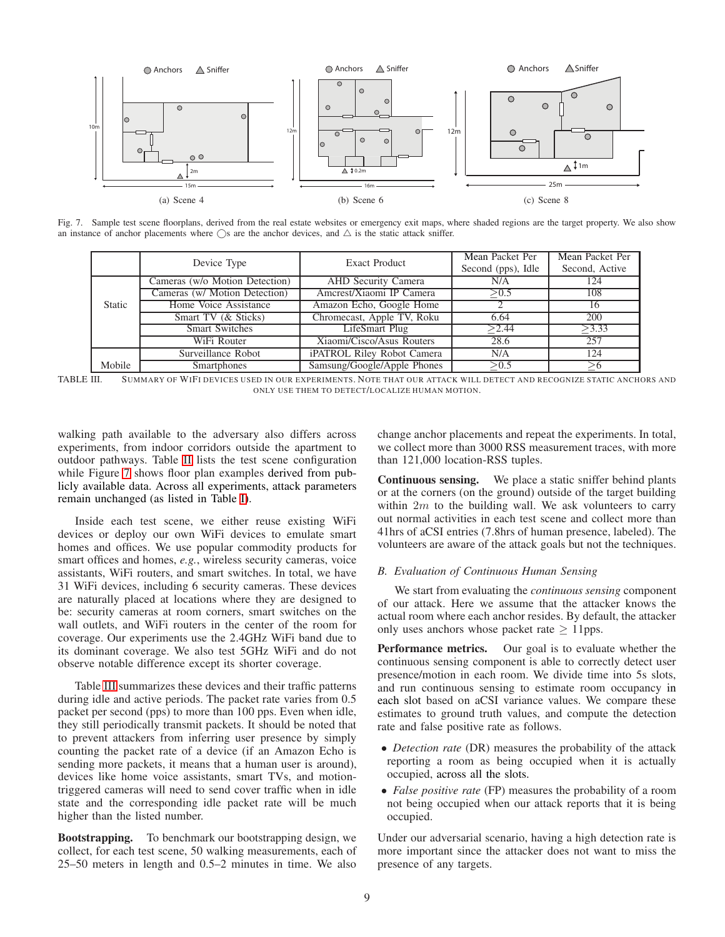

Fig. 7. Sample test scene floorplans, derived from the real estate websites or emergency exit maps, where shaded regions are the target property. We also show an instance of anchor placements where  $\bigcirc$ s are the anchor devices, and  $\bigtriangleup$  is the static attack sniffer.

<span id="page-8-1"></span>

|               | Device Type                    | Exact Product               | Mean Packet Per<br>Second (pps), Idle | Mean Packet Per<br>Second, Active |
|---------------|--------------------------------|-----------------------------|---------------------------------------|-----------------------------------|
|               | Cameras (w/o Motion Detection) | AHD Security Camera         | N/A                                   | 124                               |
|               | Cameras (w/ Motion Detection)  | Amcrest/Xiaomi IP Camera    | $\sqrt{0.5}$                          | 108                               |
| <b>Static</b> | Home Voice Assistance          | Amazon Echo, Google Home    |                                       | 16                                |
|               | Smart TV (& Sticks)            | Chromecast, Apple TV, Roku  | 6.64                                  | 200                               |
|               | <b>Smart Switches</b>          | LifeSmart Plug              | >2.44                                 | >3.33                             |
|               | WiFi Router                    | Xiaomi/Cisco/Asus Routers   | 28.6                                  | 257                               |
|               | Surveillance Robot             | iPATROL Riley Robot Camera  | N/A                                   | 124                               |
| Mobile        | <b>Smartphones</b>             | Samsung/Google/Apple Phones | > 0.5                                 |                                   |

<span id="page-8-0"></span>TABLE III. SUMMARY OF WIFI DEVICES USED IN OUR EXPERIMENTS. NOTE THAT OUR ATTACK WILL DETECT AND RECOGNIZE STATIC ANCHORS AND ONLY USE THEM TO DETECT/LOCALIZE HUMAN MOTION.

walking path available to the adversary also differs across experiments, from indoor corridors outside the apartment to outdoor pathways. Table [II](#page-7-1) lists the test scene configuration while Figure [7](#page-8-1) shows floor plan examples derived from publicly available data. Across all experiments, attack parameters remain unchanged (as listed in Table [I\)](#page-7-3).

Inside each test scene, we either reuse existing WiFi devices or deploy our own WiFi devices to emulate smart homes and offices. We use popular commodity products for smart offices and homes, *e.g.*, wireless security cameras, voice assistants, WiFi routers, and smart switches. In total, we have 31 WiFi devices, including 6 security cameras. These devices are naturally placed at locations where they are designed to be: security cameras at room corners, smart switches on the wall outlets, and WiFi routers in the center of the room for coverage. Our experiments use the 2.4GHz WiFi band due to its dominant coverage. We also test 5GHz WiFi and do not observe notable difference except its shorter coverage.

Table [III](#page-8-0) summarizes these devices and their traffic patterns during idle and active periods. The packet rate varies from 0.5 packet per second (pps) to more than 100 pps. Even when idle, they still periodically transmit packets. It should be noted that to prevent attackers from inferring user presence by simply counting the packet rate of a device (if an Amazon Echo is sending more packets, it means that a human user is around), devices like home voice assistants, smart TVs, and motiontriggered cameras will need to send cover traffic when in idle state and the corresponding idle packet rate will be much higher than the listed number.

Bootstrapping. To benchmark our bootstrapping design, we collect, for each test scene, 50 walking measurements, each of 25–50 meters in length and 0.5–2 minutes in time. We also change anchor placements and repeat the experiments. In total, we collect more than 3000 RSS measurement traces, with more than 121,000 location-RSS tuples.

Continuous sensing. We place a static sniffer behind plants or at the corners (on the ground) outside of the target building within  $2m$  to the building wall. We ask volunteers to carry out normal activities in each test scene and collect more than 41hrs of aCSI entries (7.8hrs of human presence, labeled). The volunteers are aware of the attack goals but not the techniques.

## <span id="page-8-2"></span>*B. Evaluation of Continuous Human Sensing*

We start from evaluating the *continuous sensing* component of our attack. Here we assume that the attacker knows the actual room where each anchor resides. By default, the attacker only uses anchors whose packet rate  $\geq 11$ pps.

Performance metrics. Our goal is to evaluate whether the continuous sensing component is able to correctly detect user presence/motion in each room. We divide time into 5s slots, and run continuous sensing to estimate room occupancy in each slot based on aCSI variance values. We compare these estimates to ground truth values, and compute the detection rate and false positive rate as follows.

- *Detection rate* (DR) measures the probability of the attack reporting a room as being occupied when it is actually occupied, across all the slots.
- *False positive rate* (FP) measures the probability of a room not being occupied when our attack reports that it is being occupied.

Under our adversarial scenario, having a high detection rate is more important since the attacker does not want to miss the presence of any targets.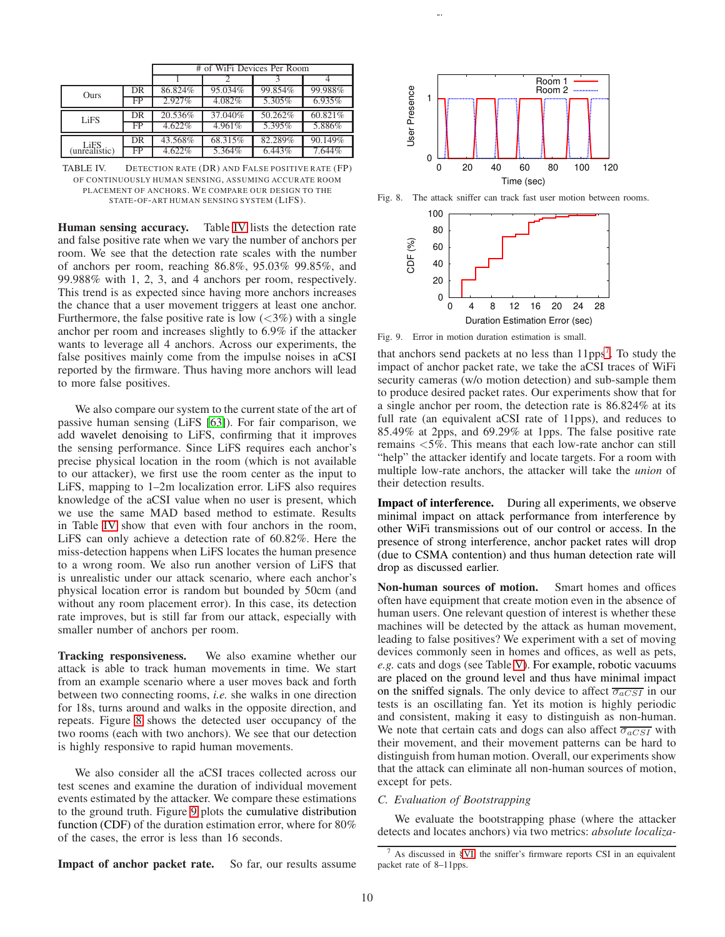|                       |             | # of WiFi Devices Per Room |         |           |           |
|-----------------------|-------------|----------------------------|---------|-----------|-----------|
|                       |             |                            |         |           |           |
| Ours                  | DR          | 86.824%                    | 95.034% | 99.854%   | 99.988%   |
|                       | FP          | 2.927%                     | 4.082%  | 5.305%    | $6.935\%$ |
| LiFS                  | DR          | 20.536%                    | 37.040% | 50.262%   | 60.821\%  |
|                       | FP          | 4.622%                     | 4.961%  | 5.395%    | 5.886%    |
|                       | DR          | 43.568%                    | 68.315% | 82.289%   | 90.149%   |
| LiFS<br>(unrealistic) | $_{\rm FP}$ | 4.622%                     | 5.364%  | $6.443\%$ | 7.644%    |

<span id="page-9-0"></span>TABLE IV. DETECTION RATE (DR) AND FALSE POSITIVE RATE (FP) OF CONTINUOUSLY HUMAN SENSING, ASSUMING ACCURATE ROOM PLACEMENT OF ANCHORS. WE COMPARE OUR DESIGN TO THE STATE-OF-ART HUMAN SENSING SYSTEM (LIFS).

Human sensing accuracy. Table [IV](#page-9-0) lists the detection rate and false positive rate when we vary the number of anchors per room. We see that the detection rate scales with the number of anchors per room, reaching 86.8%, 95.03% 99.85%, and 99.988% with 1, 2, 3, and 4 anchors per room, respectively. This trend is as expected since having more anchors increases the chance that a user movement triggers at least one anchor. Furthermore, the false positive rate is low  $(< 3\%)$  with a single anchor per room and increases slightly to 6.9% if the attacker wants to leverage all 4 anchors. Across our experiments, the false positives mainly come from the impulse noises in aCSI reported by the firmware. Thus having more anchors will lead to more false positives.

We also compare our system to the current state of the art of passive human sensing (LiFS [\[63\]](#page-14-3)). For fair comparison, we add wavelet denoising to LiFS, confirming that it improves the sensing performance. Since LiFS requires each anchor's precise physical location in the room (which is not available to our attacker), we first use the room center as the input to LiFS, mapping to 1–2m localization error. LiFS also requires knowledge of the aCSI value when no user is present, which we use the same MAD based method to estimate. Results in Table [IV](#page-9-0) show that even with four anchors in the room, LiFS can only achieve a detection rate of 60.82%. Here the miss-detection happens when LiFS locates the human presence to a wrong room. We also run another version of LiFS that is unrealistic under our attack scenario, where each anchor's physical location error is random but bounded by 50cm (and without any room placement error). In this case, its detection rate improves, but is still far from our attack, especially with smaller number of anchors per room.

Tracking responsiveness. We also examine whether our attack is able to track human movements in time. We start from an example scenario where a user moves back and forth between two connecting rooms, *i.e.* she walks in one direction for 18s, turns around and walks in the opposite direction, and repeats. Figure [8](#page-9-1) shows the detected user occupancy of the two rooms (each with two anchors). We see that our detection is highly responsive to rapid human movements.

We also consider all the aCSI traces collected across our test scenes and examine the duration of individual movement events estimated by the attacker. We compare these estimations to the ground truth. Figure [9](#page-9-2) plots the cumulative distribution function (CDF) of the duration estimation error, where for 80% of the cases, the error is less than 16 seconds.



Fig. 8. The attack sniffer can track fast user motion between rooms.

<span id="page-9-1"></span>

Fig. 9. Error in motion duration estimation is small.

<span id="page-9-2"></span>that anchors send packets at no less than  $11\text{pps}^7$  $11\text{pps}^7$ . To study the impact of anchor packet rate, we take the aCSI traces of WiFi security cameras (w/o motion detection) and sub-sample them to produce desired packet rates. Our experiments show that for a single anchor per room, the detection rate is 86.824% at its full rate (an equivalent aCSI rate of 11pps), and reduces to 85.49% at 2pps, and 69.29% at 1pps. The false positive rate remains <5%. This means that each low-rate anchor can still "help" the attacker identify and locate targets. For a room with multiple low-rate anchors, the attacker will take the *union* of their detection results.

Impact of interference. During all experiments, we observe minimal impact on attack performance from interference by other WiFi transmissions out of our control or access. In the presence of strong interference, anchor packet rates will drop (due to CSMA contention) and thus human detection rate will drop as discussed earlier.

Non-human sources of motion. Smart homes and offices often have equipment that create motion even in the absence of human users. One relevant question of interest is whether these machines will be detected by the attack as human movement, leading to false positives? We experiment with a set of moving devices commonly seen in homes and offices, as well as pets, *e.g.* cats and dogs (see Table [V\)](#page-10-0). For example, robotic vacuums are placed on the ground level and thus have minimal impact on the sniffed signals. The only device to affect  $\overline{\sigma_{aCSI}}$  in our tests is an oscillating fan. Yet its motion is highly periodic and consistent, making it easy to distinguish as non-human. We note that certain cats and dogs can also affect  $\overline{\sigma_{aCSI}}$  with their movement, and their movement patterns can be hard to distinguish from human motion. Overall, our experiments show that the attack can eliminate all non-human sources of motion, except for pets.

#### *C. Evaluation of Bootstrapping*

We evaluate the bootstrapping phase (where the attacker detects and locates anchors) via two metrics: *absolute localiza-*

Impact of anchor packet rate. So far, our results assume

<span id="page-9-3"></span> $7$  As discussed in [§VI,](#page-7-5) the sniffer's firmware reports CSI in an equivalent packet rate of 8–11pps.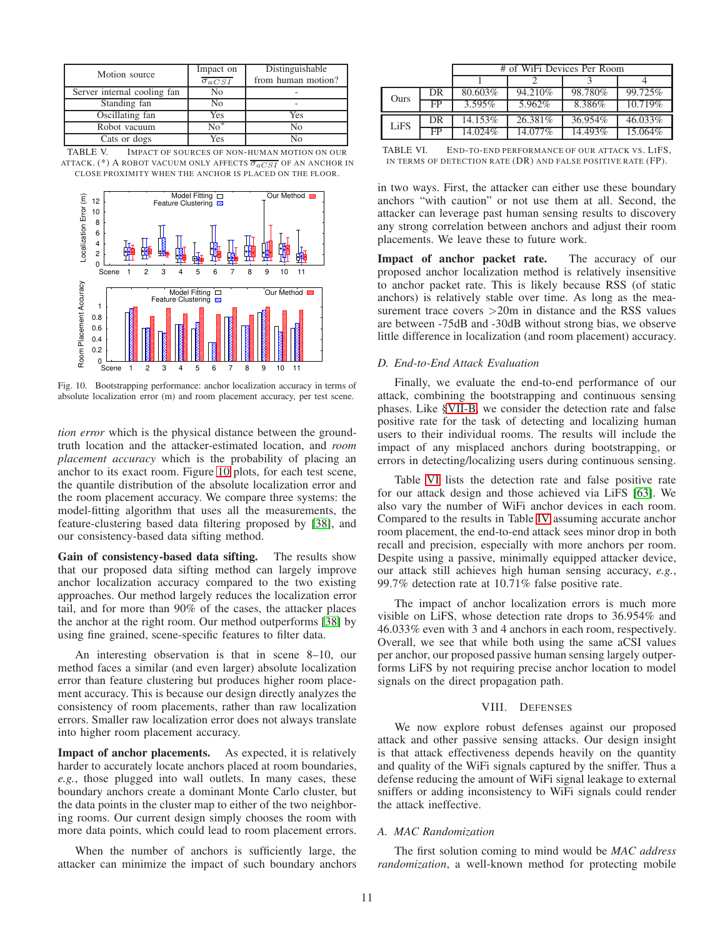| Motion source               | Impact on<br>$\overline{\sigma_{aCSI}}$ | Distinguishable<br>from human motion? |
|-----------------------------|-----------------------------------------|---------------------------------------|
| Server internal cooling fan | No                                      |                                       |
| Standing fan                | Nο                                      |                                       |
| Oscillating fan             | Yes                                     | Yes                                   |
| Robot vacuum                | $\overline{No^*}$                       | Nο                                    |
| Cats or dogs                | Yes                                     |                                       |

| TABLE V. | IMPACT OF SOURCES OF NON-HUMAN MOTION ON OUR                                       |  |  |  |
|----------|------------------------------------------------------------------------------------|--|--|--|
|          | ATTACK. (*) A ROBOT VACUUM ONLY AFFECTS $\overline{\sigma_{aCSI}}$ of an anchor in |  |  |  |
|          | CLOSE PROXIMITY WHEN THE ANCHOR IS PLACED ON THE FLOOR.                            |  |  |  |

<span id="page-10-0"></span>

<span id="page-10-1"></span>Fig. 10. Bootstrapping performance: anchor localization accuracy in terms of absolute localization error (m) and room placement accuracy, per test scene.

*tion error* which is the physical distance between the groundtruth location and the attacker-estimated location, and *room placement accuracy* which is the probability of placing an anchor to its exact room. Figure [10](#page-10-1) plots, for each test scene, the quantile distribution of the absolute localization error and the room placement accuracy. We compare three systems: the model-fitting algorithm that uses all the measurements, the feature-clustering based data filtering proposed by [\[38\]](#page-14-17), and our consistency-based data sifting method.

Gain of consistency-based data sifting. The results show that our proposed data sifting method can largely improve anchor localization accuracy compared to the two existing approaches. Our method largely reduces the localization error tail, and for more than 90% of the cases, the attacker places the anchor at the right room. Our method outperforms [\[38\]](#page-14-17) by using fine grained, scene-specific features to filter data.

An interesting observation is that in scene 8–10, our method faces a similar (and even larger) absolute localization error than feature clustering but produces higher room placement accuracy. This is because our design directly analyzes the consistency of room placements, rather than raw localization errors. Smaller raw localization error does not always translate into higher room placement accuracy.

Impact of anchor placements. As expected, it is relatively harder to accurately locate anchors placed at room boundaries, *e.g.*, those plugged into wall outlets. In many cases, these boundary anchors create a dominant Monte Carlo cluster, but the data points in the cluster map to either of the two neighboring rooms. Our current design simply chooses the room with more data points, which could lead to room placement errors.

When the number of anchors is sufficiently large, the attacker can minimize the impact of such boundary anchors

|      |     | # of WiFi Devices Per Room |          |         |                       |
|------|-----|----------------------------|----------|---------|-----------------------|
|      |     |                            |          |         |                       |
| Ours | DR  | 80.603%                    | 94.210\% | 98.780% | 99.725%               |
|      | FP  | $3.595\%$                  | 5.962%   | 8.386%  | $10.7\overline{19\%}$ |
| LiFS | DR. | 14.153%                    | 26.381%  | 36.954% | 46.033%               |
|      | FP  | 14.024%                    | 14.077%  | 14.493% | 15.064%               |

<span id="page-10-2"></span>TABLE VI. END-TO-END PERFORMANCE OF OUR ATTACK VS. LIFS, IN TERMS OF DETECTION RATE (DR) AND FALSE POSITIVE RATE (FP).

in two ways. First, the attacker can either use these boundary anchors "with caution" or not use them at all. Second, the attacker can leverage past human sensing results to discovery any strong correlation between anchors and adjust their room placements. We leave these to future work.

Impact of anchor packet rate. The accuracy of our proposed anchor localization method is relatively insensitive to anchor packet rate. This is likely because RSS (of static anchors) is relatively stable over time. As long as the measurement trace covers  $>20m$  in distance and the RSS values are between -75dB and -30dB without strong bias, we observe little difference in localization (and room placement) accuracy.

## *D. End-to-End Attack Evaluation*

Finally, we evaluate the end-to-end performance of our attack, combining the bootstrapping and continuous sensing phases. Like [§VII-B,](#page-8-2) we consider the detection rate and false positive rate for the task of detecting and localizing human users to their individual rooms. The results will include the impact of any misplaced anchors during bootstrapping, or errors in detecting/localizing users during continuous sensing.

Table [VI](#page-10-2) lists the detection rate and false positive rate for our attack design and those achieved via LiFS [\[63\]](#page-14-3). We also vary the number of WiFi anchor devices in each room. Compared to the results in Table [IV](#page-9-0) assuming accurate anchor room placement, the end-to-end attack sees minor drop in both recall and precision, especially with more anchors per room. Despite using a passive, minimally equipped attacker device, our attack still achieves high human sensing accuracy, *e.g.*, 99.7% detection rate at 10.71% false positive rate.

The impact of anchor localization errors is much more visible on LiFS, whose detection rate drops to 36.954% and 46.033% even with 3 and 4 anchors in each room, respectively. Overall, we see that while both using the same aCSI values per anchor, our proposed passive human sensing largely outperforms LiFS by not requiring precise anchor location to model signals on the direct propagation path.

## VIII. DEFENSES

We now explore robust defenses against our proposed attack and other passive sensing attacks. Our design insight is that attack effectiveness depends heavily on the quantity and quality of the WiFi signals captured by the sniffer. Thus a defense reducing the amount of WiFi signal leakage to external sniffers or adding inconsistency to WiFi signals could render the attack ineffective.

# *A. MAC Randomization*

The first solution coming to mind would be *MAC address randomization*, a well-known method for protecting mobile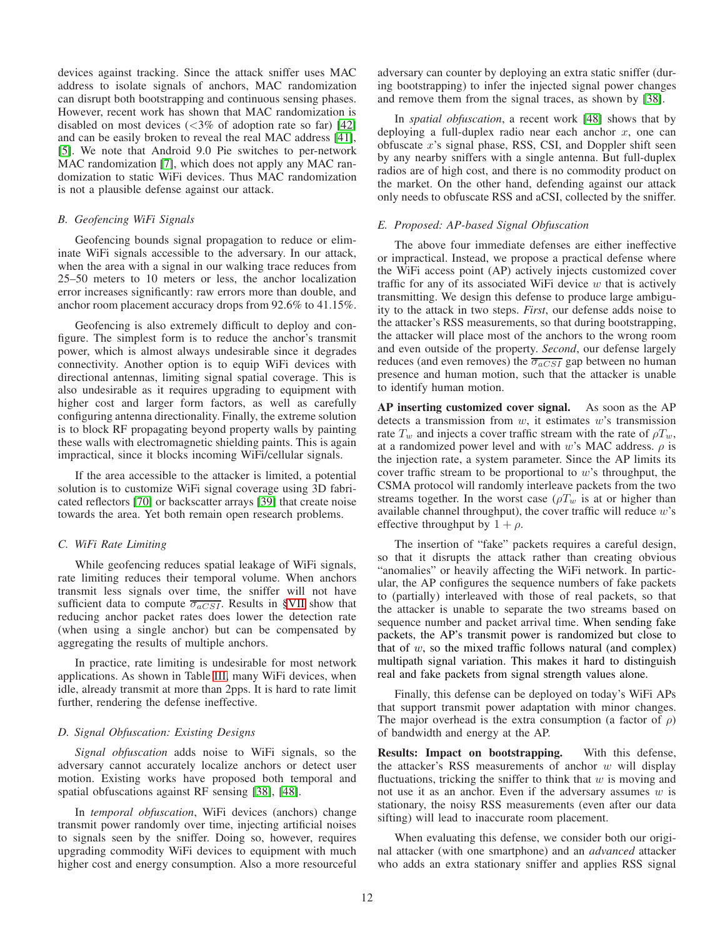devices against tracking. Since the attack sniffer uses MAC address to isolate signals of anchors, MAC randomization can disrupt both bootstrapping and continuous sensing phases. However, recent work has shown that MAC randomization is disabled on most devices  $\langle \langle 3\% \rangle$  of adoption rate so far) [\[42\]](#page-14-23) and can be easily broken to reveal the real MAC address [\[41\]](#page-14-9), [\[5\]](#page-13-19). We note that Android 9.0 Pie switches to per-network MAC randomization [\[7\]](#page-13-20), which does not apply any MAC randomization to static WiFi devices. Thus MAC randomization is not a plausible defense against our attack.

## *B. Geofencing WiFi Signals*

Geofencing bounds signal propagation to reduce or eliminate WiFi signals accessible to the adversary. In our attack, when the area with a signal in our walking trace reduces from 25–50 meters to 10 meters or less, the anchor localization error increases significantly: raw errors more than double, and anchor room placement accuracy drops from 92.6% to 41.15%.

Geofencing is also extremely difficult to deploy and configure. The simplest form is to reduce the anchor's transmit power, which is almost always undesirable since it degrades connectivity. Another option is to equip WiFi devices with directional antennas, limiting signal spatial coverage. This is also undesirable as it requires upgrading to equipment with higher cost and larger form factors, as well as carefully configuring antenna directionality. Finally, the extreme solution is to block RF propagating beyond property walls by painting these walls with electromagnetic shielding paints. This is again impractical, since it blocks incoming WiFi/cellular signals.

If the area accessible to the attacker is limited, a potential solution is to customize WiFi signal coverage using 3D fabricated reflectors [\[70\]](#page-14-24) or backscatter arrays [\[39\]](#page-14-25) that create noise towards the area. Yet both remain open research problems.

# *C. WiFi Rate Limiting*

While geofencing reduces spatial leakage of WiFi signals, rate limiting reduces their temporal volume. When anchors transmit less signals over time, the sniffer will not have sufficient data to compute  $\overline{\sigma_{aCSI}}$ . Results in [§VII](#page-7-0) show that reducing anchor packet rates does lower the detection rate (when using a single anchor) but can be compensated by aggregating the results of multiple anchors.

In practice, rate limiting is undesirable for most network applications. As shown in Table [III,](#page-8-0) many WiFi devices, when idle, already transmit at more than 2pps. It is hard to rate limit further, rendering the defense ineffective.

## *D. Signal Obfuscation: Existing Designs*

*Signal obfuscation* adds noise to WiFi signals, so the adversary cannot accurately localize anchors or detect user motion. Existing works have proposed both temporal and spatial obfuscations against RF sensing [\[38\]](#page-14-17), [\[48\]](#page-14-26).

In *temporal obfuscation*, WiFi devices (anchors) change transmit power randomly over time, injecting artificial noises to signals seen by the sniffer. Doing so, however, requires upgrading commodity WiFi devices to equipment with much higher cost and energy consumption. Also a more resourceful adversary can counter by deploying an extra static sniffer (during bootstrapping) to infer the injected signal power changes and remove them from the signal traces, as shown by [\[38\]](#page-14-17).

In *spatial obfuscation*, a recent work [\[48\]](#page-14-26) shows that by deploying a full-duplex radio near each anchor  $x$ , one can obfuscate  $x$ 's signal phase, RSS, CSI, and Doppler shift seen by any nearby sniffers with a single antenna. But full-duplex radios are of high cost, and there is no commodity product on the market. On the other hand, defending against our attack only needs to obfuscate RSS and aCSI, collected by the sniffer.

# *E. Proposed: AP-based Signal Obfuscation*

The above four immediate defenses are either ineffective or impractical. Instead, we propose a practical defense where the WiFi access point (AP) actively injects customized cover traffic for any of its associated WiFi device  $w$  that is actively transmitting. We design this defense to produce large ambiguity to the attack in two steps. *First*, our defense adds noise to the attacker's RSS measurements, so that during bootstrapping, the attacker will place most of the anchors to the wrong room and even outside of the property. *Second*, our defense largely reduces (and even removes) the  $\overline{\sigma_{aCSI}}$  gap between no human presence and human motion, such that the attacker is unable to identify human motion.

AP inserting customized cover signal. As soon as the AP detects a transmission from  $w$ , it estimates  $w$ 's transmission rate  $T_w$  and injects a cover traffic stream with the rate of  $\rho T_w$ , at a randomized power level and with w's MAC address.  $\rho$  is the injection rate, a system parameter. Since the AP limits its cover traffic stream to be proportional to  $w$ 's throughput, the CSMA protocol will randomly interleave packets from the two streams together. In the worst case ( $\rho T_w$  is at or higher than available channel throughput), the cover traffic will reduce w's effective throughput by  $1 + \rho$ .

The insertion of "fake" packets requires a careful design, so that it disrupts the attack rather than creating obvious "anomalies" or heavily affecting the WiFi network. In particular, the AP configures the sequence numbers of fake packets to (partially) interleaved with those of real packets, so that the attacker is unable to separate the two streams based on sequence number and packet arrival time. When sending fake packets, the AP's transmit power is randomized but close to that of  $w$ , so the mixed traffic follows natural (and complex) multipath signal variation. This makes it hard to distinguish real and fake packets from signal strength values alone.

Finally, this defense can be deployed on today's WiFi APs that support transmit power adaptation with minor changes. The major overhead is the extra consumption (a factor of  $\rho$ ) of bandwidth and energy at the AP.

Results: Impact on bootstrapping. With this defense, the attacker's RSS measurements of anchor  $w$  will display fluctuations, tricking the sniffer to think that  $w$  is moving and not use it as an anchor. Even if the adversary assumes  $w$  is stationary, the noisy RSS measurements (even after our data sifting) will lead to inaccurate room placement.

When evaluating this defense, we consider both our original attacker (with one smartphone) and an *advanced* attacker who adds an extra stationary sniffer and applies RSS signal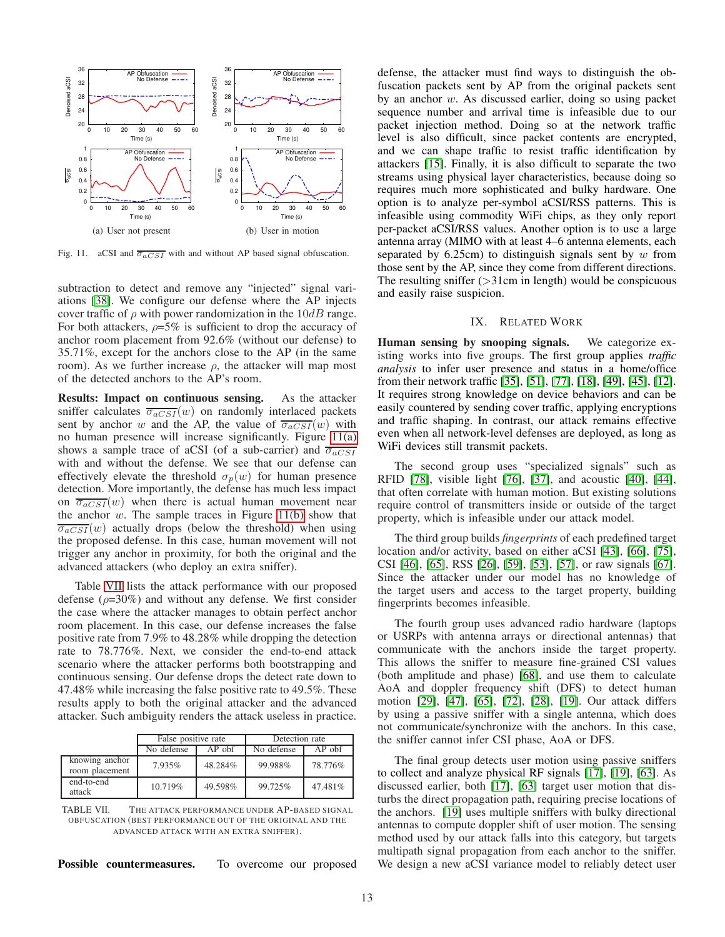

<span id="page-12-1"></span><span id="page-12-0"></span>Fig. 11. aCSI and  $\overline{\sigma_{aCSI}}$  with and without AP based signal obfuscation.

subtraction to detect and remove any "injected" signal variations [\[38\]](#page-14-17). We configure our defense where the AP injects cover traffic of  $\rho$  with power randomization in the  $10dB$  range. For both attackers,  $\rho = 5\%$  is sufficient to drop the accuracy of anchor room placement from 92.6% (without our defense) to 35.71%, except for the anchors close to the AP (in the same room). As we further increase  $\rho$ , the attacker will map most of the detected anchors to the AP's room.

Results: Impact on continuous sensing. As the attacker sniffer calculates  $\overline{\sigma_{aCSI}}(w)$  on randomly interlaced packets sent by anchor w and the AP, the value of  $\overline{\sigma_{aCSI}}(w)$  with no human presence will increase significantly. Figure [11\(a\)](#page-12-0) shows a sample trace of aCSI (of a sub-carrier) and  $\overline{\sigma_{aCSI}}$ with and without the defense. We see that our defense can effectively elevate the threshold  $\sigma_p(w)$  for human presence detection. More importantly, the defense has much less impact on  $\overline{\sigma_{aCSI}}(w)$  when there is actual human movement near the anchor  $w$ . The sample traces in Figure [11\(b\)](#page-12-1) show that  $\overline{\sigma_{aCSI}}(w)$  actually drops (below the threshold) when using the proposed defense. In this case, human movement will not trigger any anchor in proximity, for both the original and the advanced attackers (who deploy an extra sniffer).

Table [VII](#page-12-2) lists the attack performance with our proposed defense ( $\rho$ =30%) and without any defense. We first consider the case where the attacker manages to obtain perfect anchor room placement. In this case, our defense increases the false positive rate from 7.9% to 48.28% while dropping the detection rate to 78.776%. Next, we consider the end-to-end attack scenario where the attacker performs both bootstrapping and continuous sensing. Our defense drops the detect rate down to 47.48% while increasing the false positive rate to 49.5%. These results apply to both the original attacker and the advanced attacker. Such ambiguity renders the attack useless in practice.

|                                  | False positive rate    |         | Detection rate |          |
|----------------------------------|------------------------|---------|----------------|----------|
|                                  | $AP$ obf<br>No defense |         | No defense     | $AP$ obf |
| knowing anchor<br>room placement | 7.935%                 | 48.284% | 99.988%        | 78.776%  |
| end-to-end<br>attack             | 10.719%                | 49.598% | 99.725%        | 47.481\% |

<span id="page-12-2"></span>TABLE VII. THE ATTACK PERFORMANCE UNDER AP-BASED SIGNAL OBFUSCATION (BEST PERFORMANCE OUT OF THE ORIGINAL AND THE ADVANCED ATTACK WITH AN EXTRA SNIFFER).

Possible countermeasures. To overcome our proposed

defense, the attacker must find ways to distinguish the obfuscation packets sent by AP from the original packets sent by an anchor w. As discussed earlier, doing so using packet sequence number and arrival time is infeasible due to our packet injection method. Doing so at the network traffic level is also difficult, since packet contents are encrypted, and we can shape traffic to resist traffic identification by attackers [\[15\]](#page-13-4). Finally, it is also difficult to separate the two streams using physical layer characteristics, because doing so requires much more sophisticated and bulky hardware. One option is to analyze per-symbol aCSI/RSS patterns. This is infeasible using commodity WiFi chips, as they only report per-packet aCSI/RSS values. Another option is to use a large antenna array (MIMO with at least 4–6 antenna elements, each separated by  $6.25cm$  to distinguish signals sent by w from those sent by the AP, since they come from different directions. The resulting sniffer  $(>\!\!31cm$  in length) would be conspicuous and easily raise suspicion.

# IX. RELATED WORK

Human sensing by snooping signals. We categorize existing works into five groups. The first group applies *traffic analysis* to infer user presence and status in a home/office from their network traffic [\[35\]](#page-14-27), [\[51\]](#page-14-7), [\[77\]](#page-14-28), [\[18\]](#page-13-21), [\[49\]](#page-14-29), [\[45\]](#page-14-30), [\[12\]](#page-13-22). It requires strong knowledge on device behaviors and can be easily countered by sending cover traffic, applying encryptions and traffic shaping. In contrast, our attack remains effective even when all network-level defenses are deployed, as long as WiFi devices still transmit packets.

The second group uses "specialized signals" such as RFID [\[78\]](#page-14-31), visible light [\[76\]](#page-14-32), [\[37\]](#page-14-33), and acoustic [\[40\]](#page-14-34), [\[44\]](#page-14-35), that often correlate with human motion. But existing solutions require control of transmitters inside or outside of the target property, which is infeasible under our attack model.

The third group builds *fingerprints* of each predefined target location and/or activity, based on either aCSI [\[43\]](#page-14-36), [\[66\]](#page-14-37), [\[75\]](#page-14-13), CSI [\[46\]](#page-14-38), [\[65\]](#page-14-39), RSS [\[26\]](#page-13-9), [\[59\]](#page-14-40), [\[53\]](#page-14-41), [\[57\]](#page-14-42), or raw signals [\[67\]](#page-14-43). Since the attacker under our model has no knowledge of the target users and access to the target property, building fingerprints becomes infeasible.

The fourth group uses advanced radio hardware (laptops or USRPs with antenna arrays or directional antennas) that communicate with the anchors inside the target property. This allows the sniffer to measure fine-grained CSI values (both amplitude and phase) [\[68\]](#page-14-44), and use them to calculate AoA and doppler frequency shift (DFS) to detect human motion [\[29\]](#page-14-10), [\[47\]](#page-14-5), [\[65\]](#page-14-39), [\[72\]](#page-14-45), [\[28\]](#page-13-23), [\[19\]](#page-13-24). Our attack differs by using a passive sniffer with a single antenna, which does not communicate/synchronize with the anchors. In this case, the sniffer cannot infer CSI phase, AoA or DFS.

The final group detects user motion using passive sniffers to collect and analyze physical RF signals [\[17\]](#page-13-10), [\[19\]](#page-13-24), [\[63\]](#page-14-3). As discussed earlier, both [\[17\]](#page-13-10), [\[63\]](#page-14-3) target user motion that disturbs the direct propagation path, requiring precise locations of the anchors. [\[19\]](#page-13-24) uses multiple sniffers with bulky directional antennas to compute doppler shift of user motion. The sensing method used by our attack falls into this category, but targets multipath signal propagation from each anchor to the sniffer. We design a new aCSI variance model to reliably detect user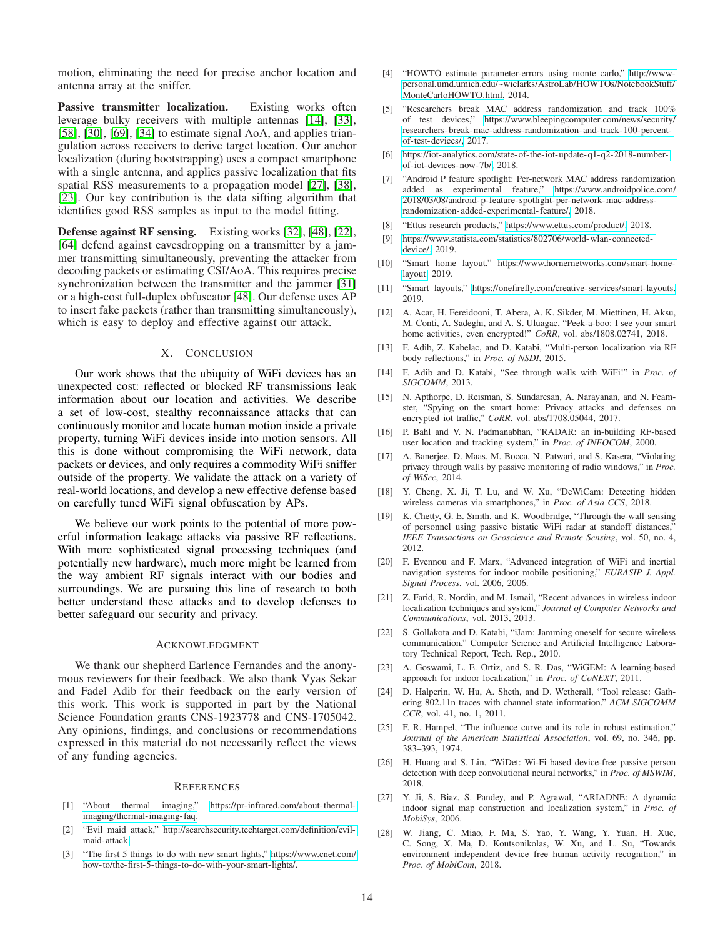motion, eliminating the need for precise anchor location and antenna array at the sniffer.

Passive transmitter localization. Existing works often leverage bulky receivers with multiple antennas [\[14\]](#page-13-5), [\[33\]](#page-14-1), [\[58\]](#page-14-19), [\[30\]](#page-14-12), [\[69\]](#page-14-0), [\[34\]](#page-14-46) to estimate signal AoA, and applies triangulation across receivers to derive target location. Our anchor localization (during bootstrapping) uses a compact smartphone with a single antenna, and applies passive localization that fits spatial RSS measurements to a propagation model [\[27\]](#page-13-25), [\[38\]](#page-14-17), [\[23\]](#page-13-26). Our key contribution is the data sifting algorithm that identifies good RSS samples as input to the model fitting.

Defense against RF sensing. Existing works [\[32\]](#page-14-47), [\[48\]](#page-14-26), [\[22\]](#page-13-27), [\[64\]](#page-14-48) defend against eavesdropping on a transmitter by a jammer transmitting simultaneously, preventing the attacker from decoding packets or estimating CSI/AoA. This requires precise synchronization between the transmitter and the jammer [\[31\]](#page-14-49) or a high-cost full-duplex obfuscator [\[48\]](#page-14-26). Our defense uses AP to insert fake packets (rather than transmitting simultaneously), which is easy to deploy and effective against our attack.

## X. CONCLUSION

Our work shows that the ubiquity of WiFi devices has an unexpected cost: reflected or blocked RF transmissions leak information about our location and activities. We describe a set of low-cost, stealthy reconnaissance attacks that can continuously monitor and locate human motion inside a private property, turning WiFi devices inside into motion sensors. All this is done without compromising the WiFi network, data packets or devices, and only requires a commodity WiFi sniffer outside of the property. We validate the attack on a variety of real-world locations, and develop a new effective defense based on carefully tuned WiFi signal obfuscation by APs.

We believe our work points to the potential of more powerful information leakage attacks via passive RF reflections. With more sophisticated signal processing techniques (and potentially new hardware), much more might be learned from the way ambient RF signals interact with our bodies and surroundings. We are pursuing this line of research to both better understand these attacks and to develop defenses to better safeguard our security and privacy.

#### ACKNOWLEDGMENT

We thank our shepherd Earlence Fernandes and the anonymous reviewers for their feedback. We also thank Vyas Sekar and Fadel Adib for their feedback on the early version of this work. This work is supported in part by the National Science Foundation grants CNS-1923778 and CNS-1705042. Any opinions, findings, and conclusions or recommendations expressed in this material do not necessarily reflect the views of any funding agencies.

#### **REFERENCES**

- <span id="page-13-3"></span>[1] "About thermal imaging," [https://pr-infrared.com/about-thermal](https://pr-infrared.com/about-thermal-imaging/thermal-imaging-faq)[imaging/thermal-imaging- faq.](https://pr-infrared.com/about-thermal-imaging/thermal-imaging-faq)
- <span id="page-13-13"></span>[2] "Evil maid attack," [http://searchsecurity.techtarget.com/definition/evil](http://searchsecurity.techtarget.com/definition/evil-maid-attack)[maid-attack.](http://searchsecurity.techtarget.com/definition/evil-maid-attack)
- <span id="page-13-2"></span>[3] "The first 5 things to do with new smart lights," [https://www.cnet.com/](https://www.cnet.com/how-to/the-first-5-things-to-do-with-your-smart-lights/) [how-to/the-first-5-things-to-do-with-your-smart-lights/.](https://www.cnet.com/how-to/the-first-5-things-to-do-with-your-smart-lights/)
- <span id="page-13-17"></span>[4] "HOWTO estimate parameter-errors using monte carlo," [http://www](http://www-personal.umd.umich.edu/~wiclarks/AstroLab/HOWTOs/NotebookStuff/MonteCarloHOWTO.html)[personal.umd.umich.edu/~wiclarks/AstroLab/HOWTOs/NotebookStuff/](http://www-personal.umd.umich.edu/~wiclarks/AstroLab/HOWTOs/NotebookStuff/MonteCarloHOWTO.html) [MonteCarloHOWTO.html,](http://www-personal.umd.umich.edu/~wiclarks/AstroLab/HOWTOs/NotebookStuff/MonteCarloHOWTO.html) 2014.
- <span id="page-13-19"></span>"Researchers break MAC address randomization and track 100% of test devices," [https://www.bleepingcomputer.com/news/security/](https://www.bleepingcomputer.com/news/security/researchers-break-mac-address-randomization-and-track-100-percent-of-test-devices/) [researchers- break-mac-address-randomization- and-track-100-percent](https://www.bleepingcomputer.com/news/security/researchers-break-mac-address-randomization-and-track-100-percent-of-test-devices/)[of-test-devices/,](https://www.bleepingcomputer.com/news/security/researchers-break-mac-address-randomization-and-track-100-percent-of-test-devices/) 2017.
- <span id="page-13-0"></span>[6] [https://iot-analytics.com/state-of-the-iot-update- q1-q2-2018-number](https://iot-analytics.com/state-of-the-iot-update-q1-q2-2018-number-of-iot-devices-now-7b/)[of-iot-devices- now-7b/,](https://iot-analytics.com/state-of-the-iot-update-q1-q2-2018-number-of-iot-devices-now-7b/) 2018.
- <span id="page-13-20"></span>[7] "Android P feature spotlight: Per-network MAC address randomization added as experimental feature," [https://www.androidpolice.com/](https://www.androidpolice.com/2018/03/08/android-p-feature-spotlight-per-network-mac-address-randomization-added-experimental-feature/) [2018/03/08/android- p-feature- spotlight- per-network-mac-address](https://www.androidpolice.com/2018/03/08/android-p-feature-spotlight-per-network-mac-address-randomization-added-experimental-feature/)[randomization- added-experimental- feature/,](https://www.androidpolice.com/2018/03/08/android-p-feature-spotlight-per-network-mac-address-randomization-added-experimental-feature/) 2018.
- <span id="page-13-14"></span><span id="page-13-1"></span>[8] "Ettus research products," [https://www.ettus.com/product/,](https://www.ettus.com/product/) 2018.
- [9] [https://www.statista.com/statistics/802706/world-wlan-connected](https://www.statista.com/statistics/802706/world-wlan-connected-device/)[device/,](https://www.statista.com/statistics/802706/world-wlan-connected-device/) 2019.
- <span id="page-13-12"></span>[10] "Smart home layout," [https://www.hornernetworks.com/smart-home](https://www.hornernetworks.com/smart-home-layout)[layout,](https://www.hornernetworks.com/smart-home-layout) 2019.
- <span id="page-13-11"></span>[11] "Smart layouts," [https://onefirefly.com/creative- services/smart-layouts,](https://onefirefly.com/creative-services/smart-layouts) 2019.
- <span id="page-13-22"></span>[12] A. Acar, H. Fereidooni, T. Abera, A. K. Sikder, M. Miettinen, H. Aksu, M. Conti, A. Sadeghi, and A. S. Uluagac, "Peek-a-boo: I see your smart home activities, even encrypted!" *CoRR*, vol. abs/1808.02741, 2018.
- <span id="page-13-8"></span>[13] F. Adib, Z. Kabelac, and D. Katabi, "Multi-person localization via RF body reflections," in *Proc. of NSDI*, 2015.
- <span id="page-13-5"></span>[14] F. Adib and D. Katabi, "See through walls with WiFi!" in *Proc. of SIGCOMM*, 2013.
- <span id="page-13-4"></span>[15] N. Apthorpe, D. Reisman, S. Sundaresan, A. Narayanan, and N. Feamster, "Spying on the smart home: Privacy attacks and defenses on encrypted iot traffic," *CoRR*, vol. abs/1708.05044, 2017.
- <span id="page-13-6"></span>[16] P. Bahl and V. N. Padmanabhan, "RADAR: an in-building RF-based user location and tracking system," in *Proc. of INFOCOM*, 2000.
- <span id="page-13-10"></span>[17] A. Banerjee, D. Maas, M. Bocca, N. Patwari, and S. Kasera, "Violating privacy through walls by passive monitoring of radio windows," in *Proc. of WiSec*, 2014.
- <span id="page-13-21"></span>[18] Y. Cheng, X. Ji, T. Lu, and W. Xu, "DeWiCam: Detecting hidden wireless cameras via smartphones," in *Proc. of Asia CCS*, 2018.
- <span id="page-13-24"></span>[19] K. Chetty, G. E. Smith, and K. Woodbridge, "Through-the-wall sensing of personnel using passive bistatic WiFi radar at standoff distances," *IEEE Transactions on Geoscience and Remote Sensing*, vol. 50, no. 4, 2012.
- <span id="page-13-16"></span>[20] F. Evennou and F. Marx, "Advanced integration of WiFi and inertial navigation systems for indoor mobile positioning," *EURASIP J. Appl. Signal Process*, vol. 2006, 2006.
- <span id="page-13-7"></span>[21] Z. Farid, R. Nordin, and M. Ismail, "Recent advances in wireless indoor localization techniques and system," *Journal of Computer Networks and Communications*, vol. 2013, 2013.
- <span id="page-13-27"></span>[22] S. Gollakota and D. Katabi, "iJam: Jamming oneself for secure wireless communication," Computer Science and Artificial Intelligence Laboratory Technical Report, Tech. Rep., 2010.
- <span id="page-13-26"></span>[23] A. Goswami, L. E. Ortiz, and S. R. Das, "WiGEM: A learning-based approach for indoor localization," in *Proc. of CoNEXT*, 2011.
- <span id="page-13-18"></span>[24] D. Halperin, W. Hu, A. Sheth, and D. Wetherall, "Tool release: Gathering 802.11n traces with channel state information," *ACM SIGCOMM CCR*, vol. 41, no. 1, 2011.
- <span id="page-13-15"></span>[25] F. R. Hampel, "The influence curve and its role in robust estimation," *Journal of the American Statistical Association*, vol. 69, no. 346, pp. 383–393, 1974.
- <span id="page-13-9"></span>[26] H. Huang and S. Lin, "WiDet: Wi-Fi based device-free passive person detection with deep convolutional neural networks," in *Proc. of MSWIM*, 2018.
- <span id="page-13-25"></span>[27] Y. Ji, S. Biaz, S. Pandey, and P. Agrawal, "ARIADNE: A dynamic indoor signal map construction and localization system," in *Proc. of MobiSys*, 2006.
- <span id="page-13-23"></span>[28] W. Jiang, C. Miao, F. Ma, S. Yao, Y. Wang, Y. Yuan, H. Xue, C. Song, X. Ma, D. Koutsonikolas, W. Xu, and L. Su, "Towards environment independent device free human activity recognition," in *Proc. of MobiCom*, 2018.